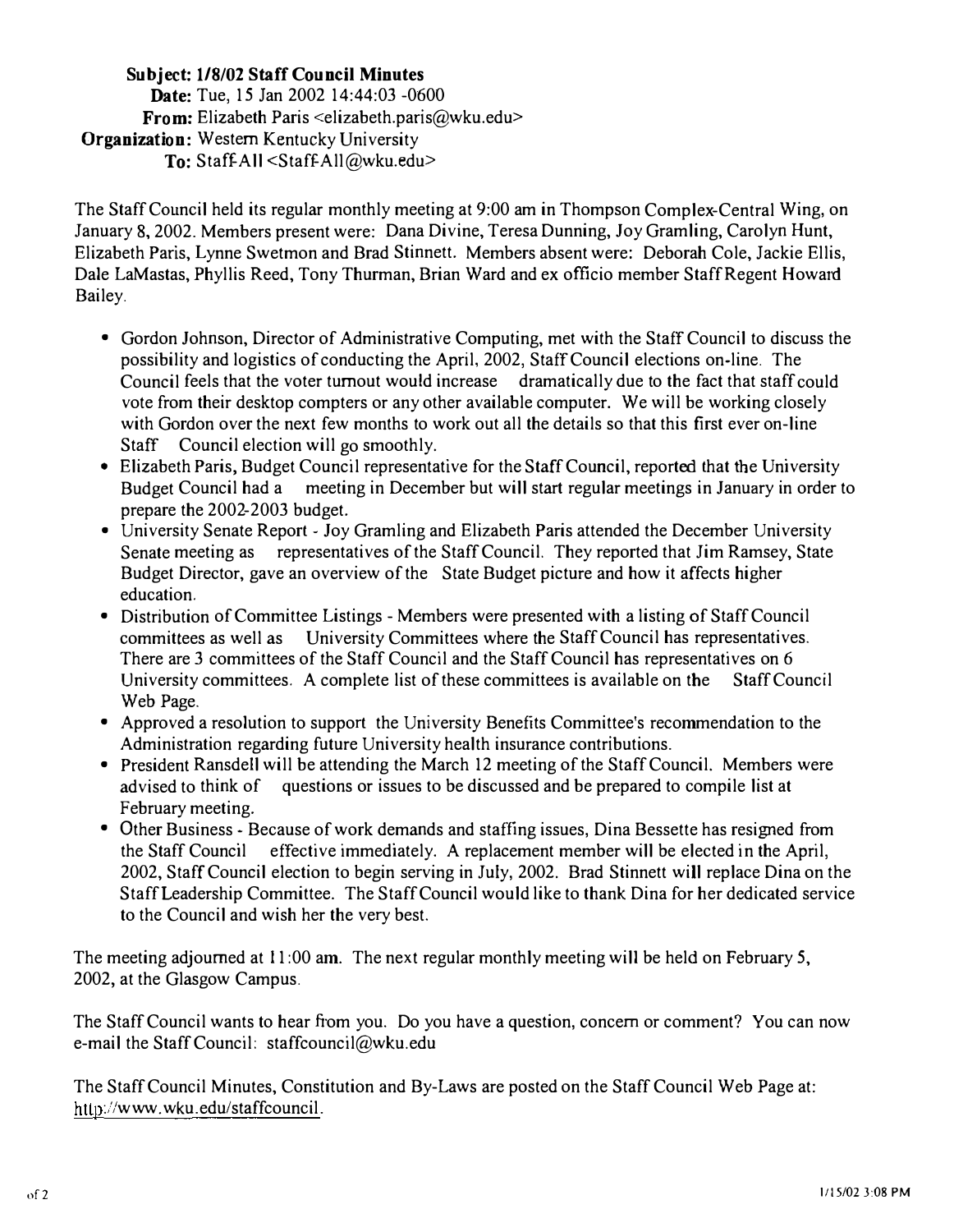# Subject: 118/02 Staff Council Minutes Date: Tue, 15 Jan 2002 14:44:03 -0600 From: Elizabeth Paris <elizabeth.paris@wku.edu> **Organization:** Western Kentucky University To: Staff-All  $\leq$ Staff-All $@$ wku.edu>

The Staff Council held its regular monthly meeting at 9:00 am in Thompson Complex-Central Wing, on January 8, 2002. Members present were: Dana Divine, Teresa Dunning, Joy Gramling, Carolyn Hunt, Elizabeth Paris, Lynne Swetmon and Brad Stinnett. Members absent were: Deborah Cole, Jackie Ellis, Dale LaMastas, Phyllis Reed, Tony Thurman, Brian Ward and ex officio member Staff Regent Howard Bailey.

- Gordon Johnson, Director of Administrative Computing, met with the Staff Council to discuss the possibility and logistics of conducting the April, 2002, Staff Council elections on-line. The Council feels that the voter turnout would increase dramatically due to the fact that staff could vote from their desktop compters or any other available computer. We will be working closely with Gordon over the next few months to work out all the details so that this first ever on -line Staff Council election will go smoothly.
- Elizabeth Paris, Budget Council representative for the Staff Council, reported that the University Budget Council had a meeting in December but will start regular meetings in January in order to prepare the 2002-2003 budget.
- University Senate Report Joy Gramling and Elizabeth Paris attended the December University Senate meeting as representatives of the Staff Council. They reported that Jim Ramsey, State Budget Director, gave an overview of the State Budget picture and how it affects higher education.
- Distribution of Committee Listings Members were presented with a listing of Staff Council committees as well as University Committees where the Staff Council has representatives. There are 3 committees of the Staff Council and the Staff Council has representatives on 6 University committees. A complete list of these committees is available on the Staff Council Web Page.
- Approved a resolution to support the University Benefits Committee's recommendation to the Administration regarding future University health insurance contributions.
- President Ransdell will be attending the March 12 meeting of the Staff Council. Members were advised to think of questions or issues to be discussed and be prepared to compile list at February meeting.
- Other Business Because of work demands and staffing issues, Dina Bessette has resigned from the Staff Council effective immediately. A replacement member will be elected in the April, 2002, Staff Council election to begin serving in July, 2002. Brad Stinnett will replace Dina on the Staff Leadership Committee. The Staff Council would like to thank Dina for her dedicated service to the Council and wish her the very best.

The meeting adjourned at 11:00 am. The next regular monthly meeting will be held on February 5, 2002, at the Glasgow Campus.

The Staff Council wants to hear from you. Do you have a question, concern or comment? You can now e-mail the Staff Council: staffcouncil@wku.edu

The Staff Council Minutes, Constitution and By -Laws are posted on the Staff Council Web Page at: http://www.wku.edu/staffcouncil.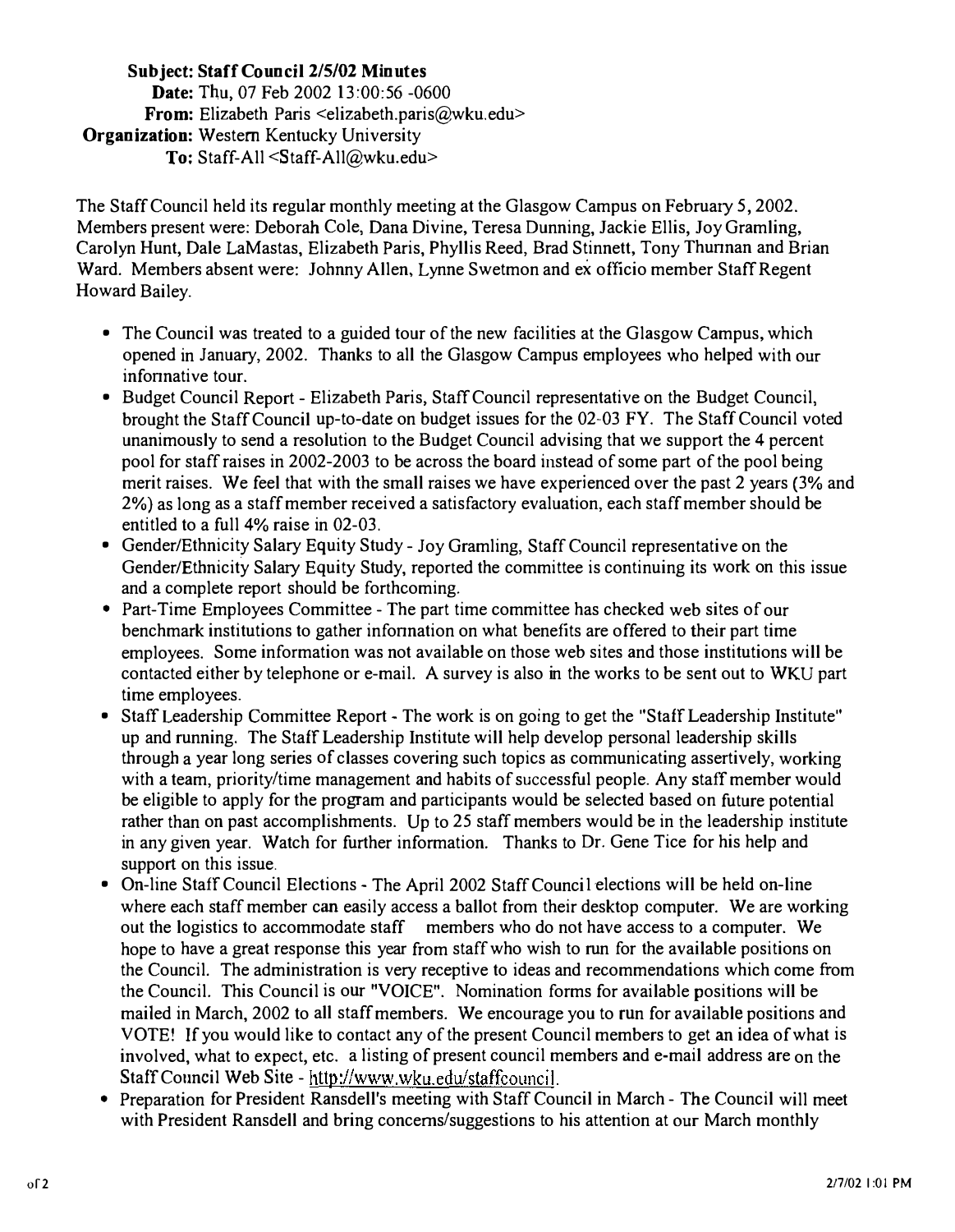# Subject: Staff Council 2/5/02 Minutes Date: Thu, 07 Feb 2002 13:00:56 -0600 From: Elizabeth Paris <elizabeth.paris@wku.edu> Organization: Western Kentucky University To: Staff-All <Staff-All@wku.edu>

The Staff Council held its regular monthly meeting at the Glasgow Campus on February 5, 2002. Members present were: Deborah Cole, Dana Divine, Teresa Dunning, Jackie Ellis, Joy Gramling, Carolyn Hunt, Dale LaMastas, Elizabeth Paris, Phyllis Reed, Brad Stinnett, Tony Thunnan and Brian Ward. Members absent were: Johnny Allen, Lynne Swetmon and ex officio member Staff Regent Howard Bailey.

- The Council was treated to a guided tour of the new facilities at the Glasgow Campus, which opened in January, 2002. Thanks to all the Glasgow Campus employees who helped with our infonnative tour.
- Budget Council Report Elizabeth Paris, Staff Council representative on the Budget Council, brought the Staff Council up-to-date on budget issues for the 02-03 FY. The Staff Council voted unanimously to send a resolution to the Budget Council advising that we support the 4 percent pool for staff raises in 2002-2003 to be across the board instead of some part of the pool being merit raises. We feel that with the small raises we have experienced over the past 2 years (3% and 2%) as long as a staff member received a satisfactory evaluation, each staff member should be entitled to a full 4% raise in 02-03.
- Gender/Ethnicity Salary Equity Study Joy Gramling, Staff Council representative on the Gender/Ethnicity Salary Equity Study, reported the committee is continuing its work on this issue and a complete report should be forthcoming.
- Part-Time Employees Committee The part time committee has checked web sites of our benchmark institutions to gather infonnation on what benefits are offered to their part time employees. Some information was not available on those web sites and those institutions will be contacted either by telephone or e-mail. A survey is also in the works to be sent out to WKU part time employees.
- Staff Leadership Committee Report The work is on going to get the "Staff Leadership Institute" up and running. The Staff Leadership Institute will help develop personal leadership skills through a year long series of classes covering such topics as communicating assertively, working with a team, priority/time management and habits of successful people. Any staff member would be eligible to apply for the program and participants would be selected based on future potential rather than on past accomplishments. Up to 25 staff members would be in the leadership institute in any given year. Watch for further information. Thanks to Dr. Gene Tice for his help and support on this issue.
- On-line Staff Council Elections The April 2002 Staff Council elections will be held on-line where each staff member can easily access a ballot from their desktop computer. We are working out the logistics to accommodate staff members who do not have access to a computer. We hope to have a great response this year from staff who wish to run for the available positions on the Council. The administration is very receptive to ideas and recommendations which come from the Council. This Council is our "VOICE". Nomination forms for available positions will be mailed in March, 2002 to all staff members. We encourage you to run for available positions and VOTE! If you would like to contact any of the present Council members to get an idea of what is involved, what to expect, etc. a listing of present council members and e-mail address are on the Staff Council Web Site - http://www.wku.edu/staffcouncil.
- Preparation for President Ransdell's meeting with Staff Council in March The Council will meet with President Ransdell and bring concerns/suggestions to his attention at our March monthly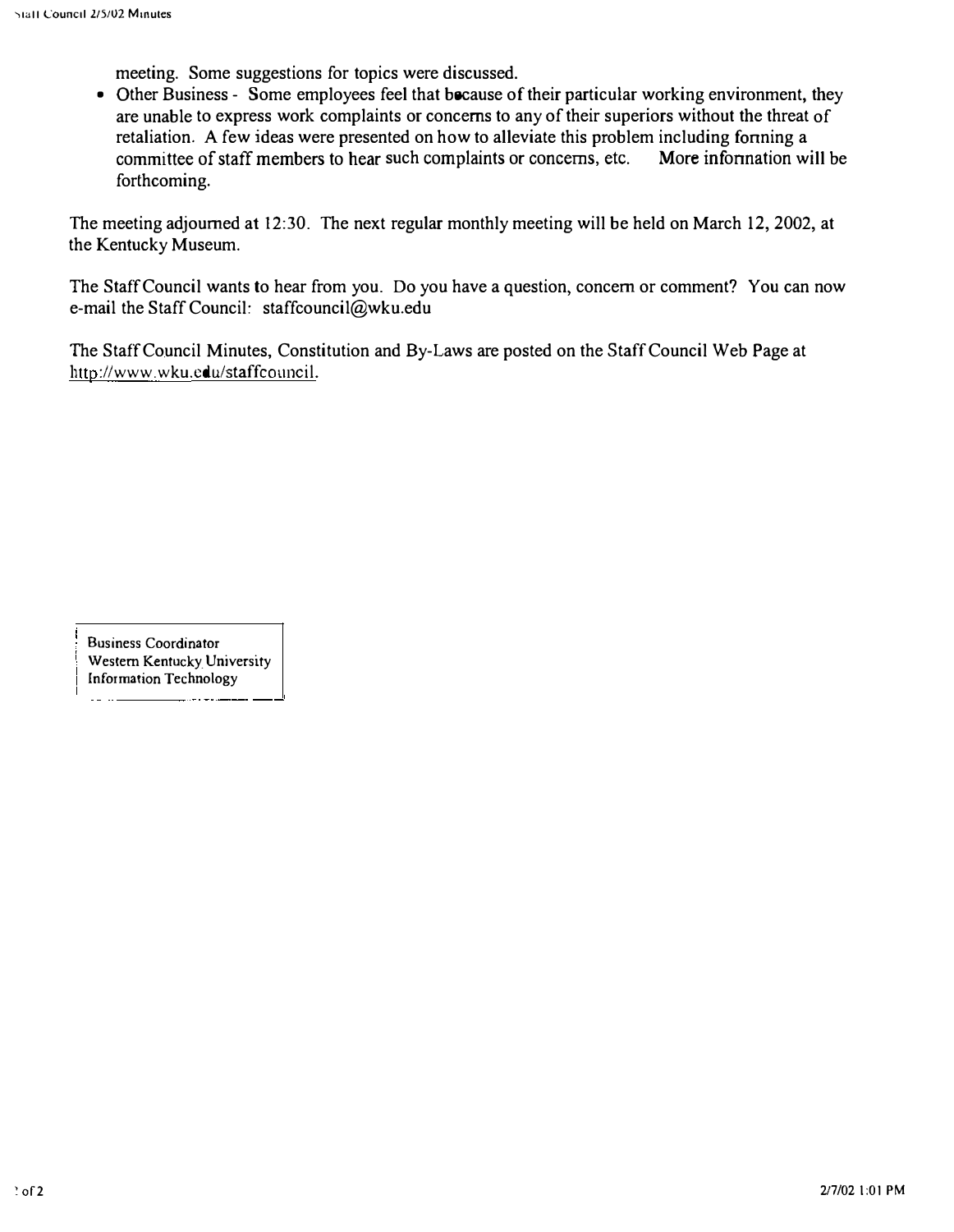meeting. Some suggestions for topics were discussed.

• Other Business - Some employees feel that because of their particular working environment, they are unable to express work complaints or concerns to any of their superiors without the threat of retaliation. A few ideas were presented on how to alleviate this problem including forming a committee of staff members to hear such complaints or concerns, etc. More infonnation will be forthcoming.

The meeting adjourned at 12:30. The next regular monthly meeting will be held on March 12, 2002, at the Kentucky Museum.

The Staff Council wants to hear from you. Do you have a question, concern or comment? You can now e-mail the Staff Council: staffcouncil@wku.edu

The Staff Council Minutes, Constitution and By-Laws are posted on the Staff Council Web Page at http://www.wku.edu/staffcouncil.

Business Coordinator Western Kentucky. University Information Technology

 $\mathbf{1} = \mathbf{1}$ 

-. ----.--�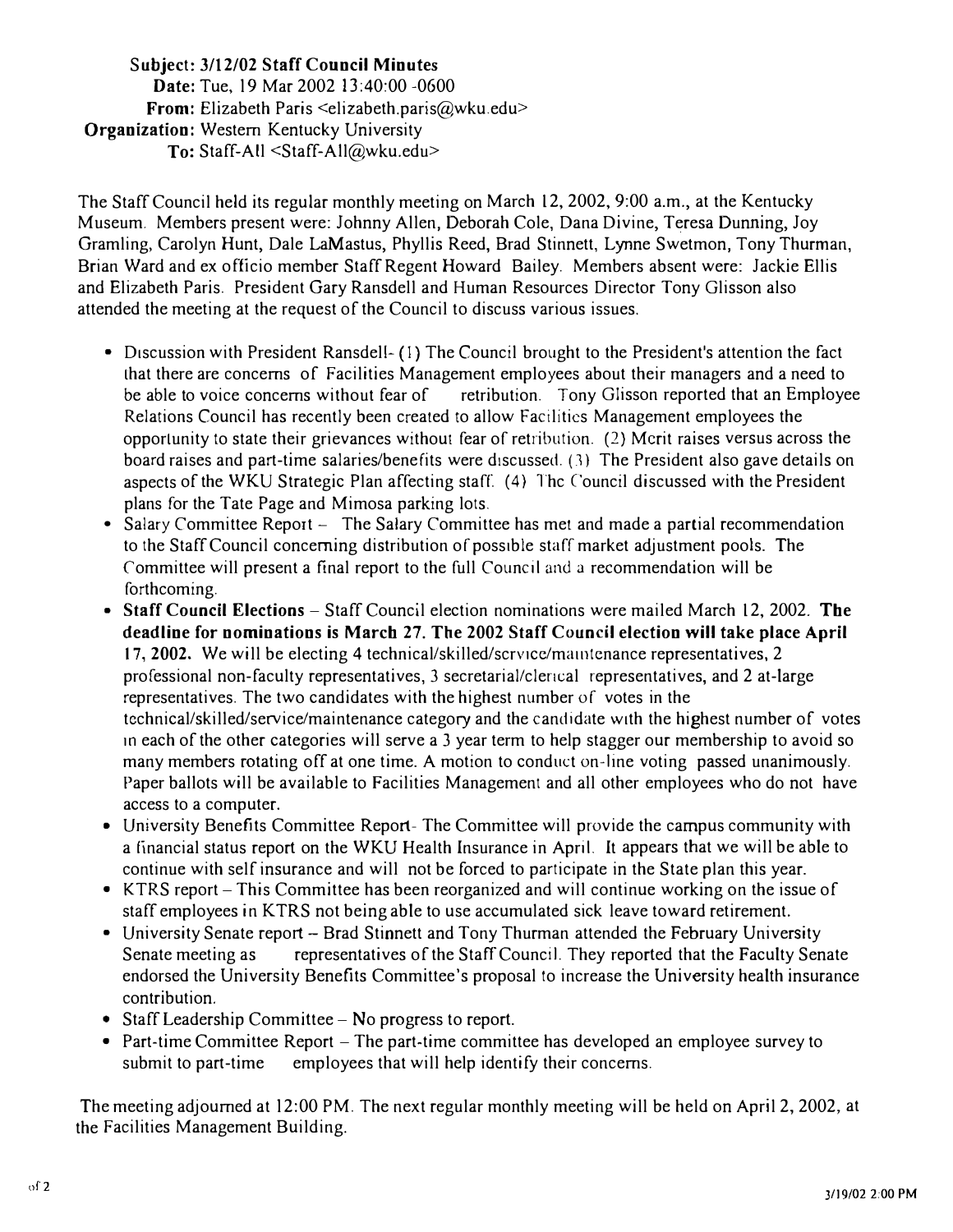### Subject: 3/12/02 Staff Council Minutes Date: Tue, 19 Mar 2002 13:40:00 -0600 From: Elizabeth Paris  $\leq$ elizabeth.paris@wku.edu> Organization: Western Kentucky University To: Staff-All <Staff-All@wku.edu>

The Staff Council held its regular monthly meeting on March 12,2002,9:00 a.m., at the Kentucky Museum. Members present were: Johnny Allen, Deborah Cole, Dana Divine, Teresa Dunning, Joy Gramling, Carolyn Hunt, Dale LaMastus, Phyllis Reed, Brad Stinnett, Lynne Swetmon, Tony Thurman, Brian Ward and ex officio member Staff Regent Howard Bailey. Members absent were: Jackie Ellis and Elizabeth Paris. President Gary Ransdell and Human Resources Director Tony Glisson also attended the meeting at the request of the Council to discuss various issues.

- Discussion with President Ransdell-(1) The Council brought to the President's attention the fact Lhat there are concerns of Facilities Management employees about their managers and a need to be able to voice concerns without fear of retribution. Tony Glisson reported that an Employee Relations Council has recently been created to allow Factlitics Management employees the opportunity to state their grievances without fear of retribution. (2) Merit raises versus across the board raises and part-time salaries/benefits were discussed.  $(3)$  The President also gave details on aspects of the WKU Strategic Plan affecting staff. (4) Thc Council discussed with the President plans for the Tate Page and Mimosa parking lots.
- Salary Committee Report The Salary Committee has met and made a partial recommendation to the Staff Council concerning distribution of possible staff market adjustment pools. The Committee will present a final report to the full Council and a recommendation will be forthcoming.
- Staff Council Elections Staff Council election nominations were mailed March 12, 2002. The deadline for nominations is March 27. The 2002 Staff Council election will take place April 17, 2002. We will be electing 4 technical/skilled/scrvice/maintenance representatives, 2 professional non-faculty representatives, 3 secretarial/clerical representatives, and 2 at-large representatives. The two candidates with the highest number of votes in the technical/skilled/service/maintenance category and the candidate with the highest number of votes In each of the other categories will serve a 3 year term to help stagger our membership to avoid so many members rotating off at one time. A motion to conduct on-line voting passed unanimously. Paper ballots will be available to Facilities Management and all other employees who do not have access to a computer.
- University Benefits Committee Report- The Committee will provide the campus community with a financial status report on the WKU Health Insurance in April. It appears that we will be able to continue with self insurance and will not be forced to participate in the State plan this year.
- KTRS report This Committee has been reorganized and will continue working on the issue of staff employees in KTRS not being able to use accumulated sick leave toward retirement.
- University Senate report Brad Stinnett and Tony Thurman attended the February University Senate meeting as representatives of the Staff Council. They reported that the Faculty Senate endorsed the University Benefits Committee's proposal to increase the University health insurance contribution.
- Staff Leadership Committee  $-$  No progress to report.
- Part-time Committee Report  $-$  The part-time committee has developed an employee survey to submit to part-time employees that will help identify their concerns.

The meeting adjourned at 12:00 PM. The next regular monthly meeting will be held on April 2, 2002, at the Facilities Management Building.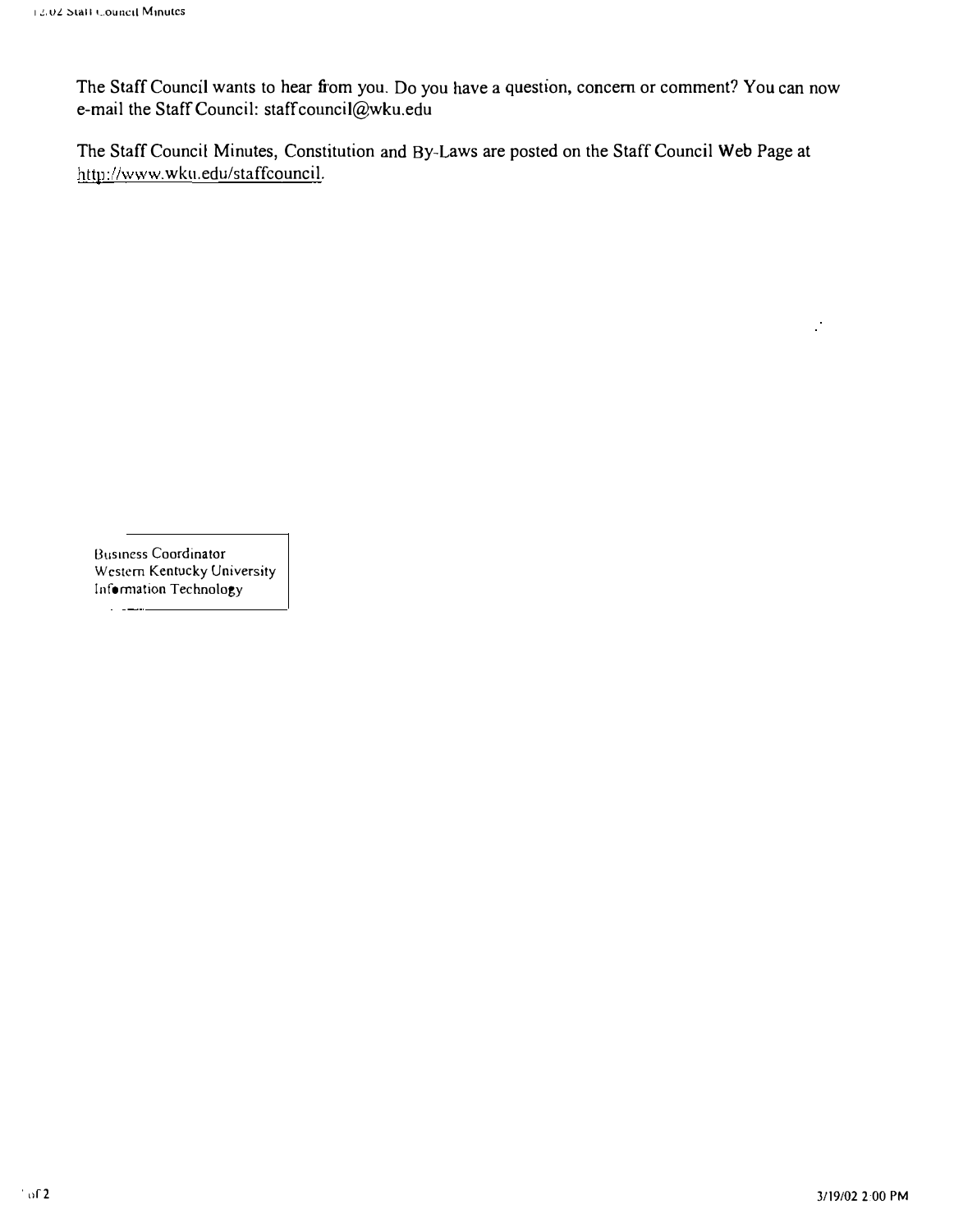The Staff Council wants to hear from you. Do you have a question, concern or comment? You can now e-mail the Staff Council: staffcouncil@wku.edu

The Staff Council Minutes, Constitution and By-Laws are posted on the Staff Council Web Page at http://www.wku.edu/staffcouncil.

8usmess Coordinator Western Kentucky University Information Technology

 $\sim$   $-$ 

 $\mathcal{C}$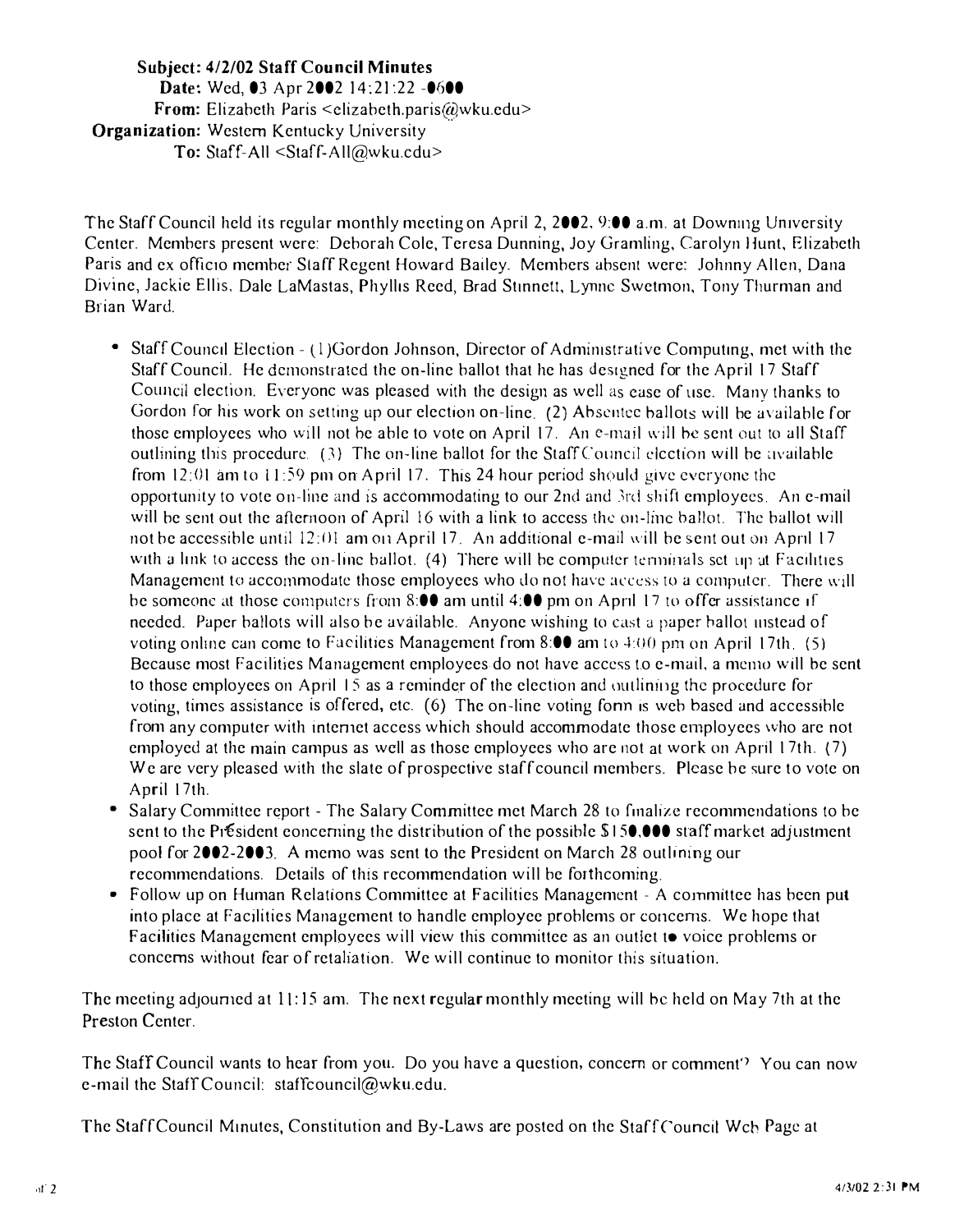#### Subject: 4/2/02 Staff Council Minutes Date: Wed, 03 Apr 2002 14:21:22 -060 From: Elizabeth Paris <clizabeth.paris@wku.edu> Organization: Western Kentucky University To: Staff-All <Staff-All@wku.cdu>

The Staff Council held its regular monthly meeting on April 2, 2002, 9:00 a.m. at Downing University Center. Members present were: Deborah Cole, Teresa Dunning, Joy Gramling, Carolyn Hunt, Elizabeth Paris and ex officio member Staff Regent Howard Bailey. Members absent were: Johnny Allen, Dana Divine, Jackie Ellis, Dale LaMastas, Phyllis Reed, Brad Stinnett, Lynne Swetmon, Tony Thurman and Brian Ward.

- Staff Council Election (1) Gordon Johnson, Director of Administrative Computing, met with the Staff Council. He demonstrated the on-line ballot that he has designed for the April 17 Staff Council election. Everyonc was pleased with the design as well as ease of use. Many thanks to Gordon for his work on setting up our election on-line. (2) Absentee ballots will be available for those employees who will not be able to vote on April 17. An e-mail will be sent out to all Staff outhining this procedure.  $(3)$  The on-line ballot for the Staff Council election will be available from 12:01 am to  $11:59$  pm on April 17. This 24 hour period should give everyone the opportunity to vote on-line and is accommodating to our 2nd and 3rd shift employees. An e-mail will be sent out the afternoon of April 16 with a link to access the on-line ballot. The ballot will not be accessible until  $12:01$  am on April 17. An additional e-mail will be sent out on April 17 with a link to access the on-line ballot. (4) There will be computer terminals set up at Facilities Management to accommodate those employees who do not have access to a computer. There will be someone at those computers from 8:00 am until 4:00 pm on April 17 to offer assistance if needed. Paper ballots will also be available. Anyone wishing to cast a paper hallot uistead of voting online can come to Facilities Management from 8:00 am to  $4:00$  pm on April 17th. (5) Because most Facilities Management employees do not have access to e-mail, a memo will be sent to those employees on April 15 as a reminder of the election and outlining the procedure for voting, times assistance is offered, etc. (6) The on-line voting form is web based and accessible from any computer with internet access which should accommodate those employees who are not employed at the main campus as well as those employees who are not at work on April 17th.  $(7)$ We are very pleased with the slate of prospective staff council members. Please be sure to vote on April 17th.
- Salary Committee report The Salary Committee met March 28 to finalize recommendations to be sent to the P<sub>1</sub>. Esident eoncerning the distribution of the possible  $$150,000$  staff market adjustment pool for 2002-2003. A memo was sent to the President on March 28 outlining our recommendations. Details of this recommendation will be forthcoming.
- Follow up on Human Relations Committee at Facilities Management A committee has been put into place at Facilities Management to handle employee problems or concerns. We hope that Facilities Management employees will view this committee as an outlet to voice problems or concerns without fear of retaliation. We will continue to monitor this situation.

The meeting adjourned at II: 15 am. The next regular monthly meeting will he held on May 7th at the Preston Center.

The Staff Council wants to hear from you. Do you have a question, concern or comment') You can now e-mail the Staff Council: staffcouncil@wku.edu.

The Staff Council Minutes, Constitution and By-Laws are posted on the Staff Council Wch Page at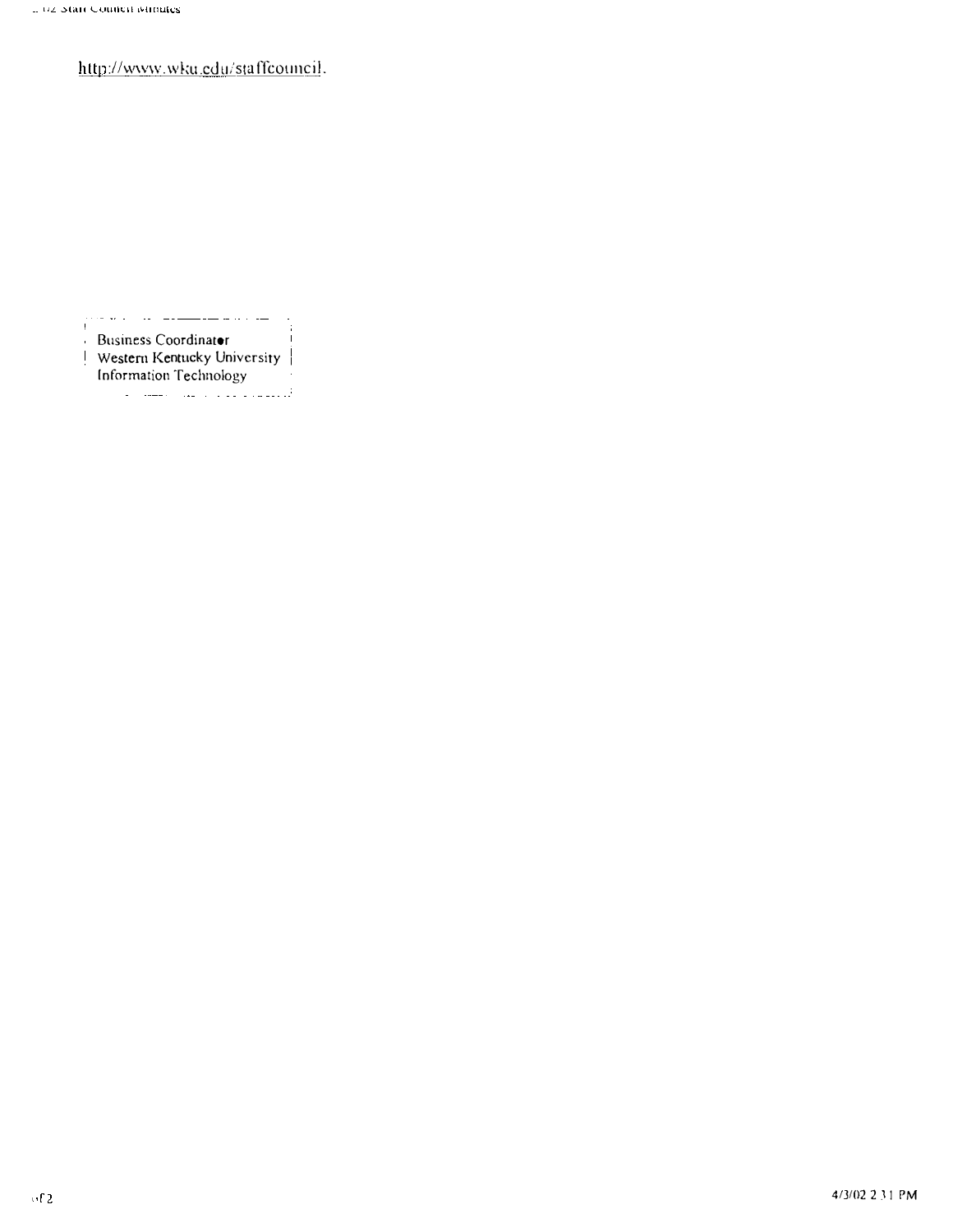http://www.wku.edu/staffcouncil.

-i Ţ. Business Coordinator Ţ. Western Kentucky University Information Technology المتحصين والوادي المتلاة المستداري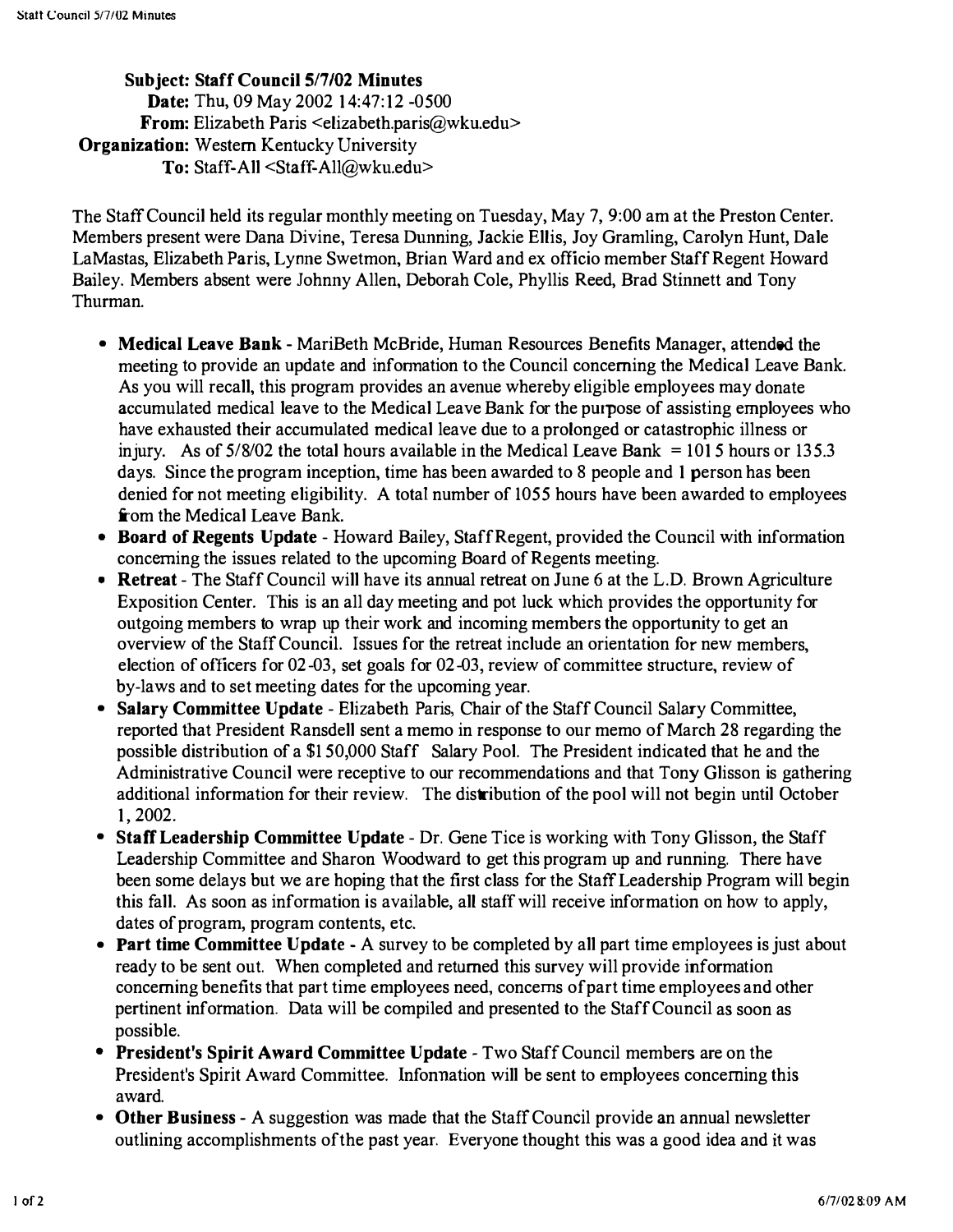Subject: Staff Council 5/7/02 Minutes Date: Thu, 09 May 2002 14:47:12 -0500 From: Elizabeth Paris <elizabeth.paris@wku.edu> Organization: Western Kentucky University To: Staff-All <Staff-All@wku.edu>

The Staff Council held its regular monthly meeting on Tuesday, May 7, 9:00 am at the Preston Center. Members present were Dana Divine, Teresa Dunning, Jackie Ellis, Joy Gramling, Carolyn Hunt, Dale LaMastas, Elizabeth Paris, Lynne Swetmon, Brian Ward and ex officio member Staff Regent Howard Bailey. Members absent were Johnny Allen, Deborah Cole, Phyllis Reed, Brad Stinnett and Tony Thurman.

- Medical Leave Bank MariBeth McBride, Human Resources Benefits Manager, attended the meeting to provide an update and infonnation to the Council concerning the Medical Leave Bank. As you will recall, this program provides an avenue whereby eligible employees may donate accumulated medical leave to the Medical Leave Bank for the purpose of assisting employees who have exhausted their accumulated medical leave due to a prolonged or catastrophic illness or in jury. As of  $5/8/02$  the total hours available in the Medical Leave Bank = 1015 hours or 135.3 days. Since the program inception, time has been awarded to 8 people and 1 person has been denied for not meeting eligibility. A total number of 1055 hours have been awarded to employees from the Medical Leave Bank.
- Board of Regents Update Howard Bailey, Staff Regent, provided the Council with information concerning the issues related to the upcoming Board of Regents meeting.
- Retreat The Staff Council will have its annual retreat on June 6 at the L.D. Brown Agriculture Exposition Center. This is an all day meeting and pot luck which provides the opportunity for outgoing members to wrap up their work and incoming members the opportunity to get an overview of the Staff Council. Issues for the retreat include an orientation for new members, election of officers for 02-03, set goals for 02-03, review of committee structure, review of by-laws and to set meeting dates for the upcoming year.
- Salary Committee Update Elizabeth Paris, Chair of the Staff Council Salary Committee, reported that President Ransdell sent a memo in response to our memo of March 28 regarding the possible distribution of a \$150,000 Staff Salary Pool. The President indicated that he and the Administrative Council were receptive to our recommendations and that Tony Glisson is gathering additional information for their review. The distribution of the pool will not begin until October 1,2002.
- Staff Leadership Committee Update Dr. Gene Tice is working with Tony Glisson, the Staff Leadership Committee and Sharon Woodward to get this program up and running. There have been some delays but we are hoping that the first class for the Staff Leadership Program will begin this fall. As soon as information is available, all staff will receive information on how to apply, dates of program, program contents, etc.
- Part time Committee Update A survey to be completed by all part time employees is just about ready to be sent out. When completed and returned this survey will provide information concerning benefits that part time employees need, concerns of part time employees and other pertinent information. Data will be compiled and presented to the Staff Council as soon as possible.
- President's Spirit Award Committee Update Two Staff Council members are on the President's Spirit Award Committee. Infonnation will be sent to employees concerning this award.
- Other Business A suggestion was made that the Staff Council provide an annual newsletter outlining accomplishments ofthe past year. Everyone thought this was a good idea and it was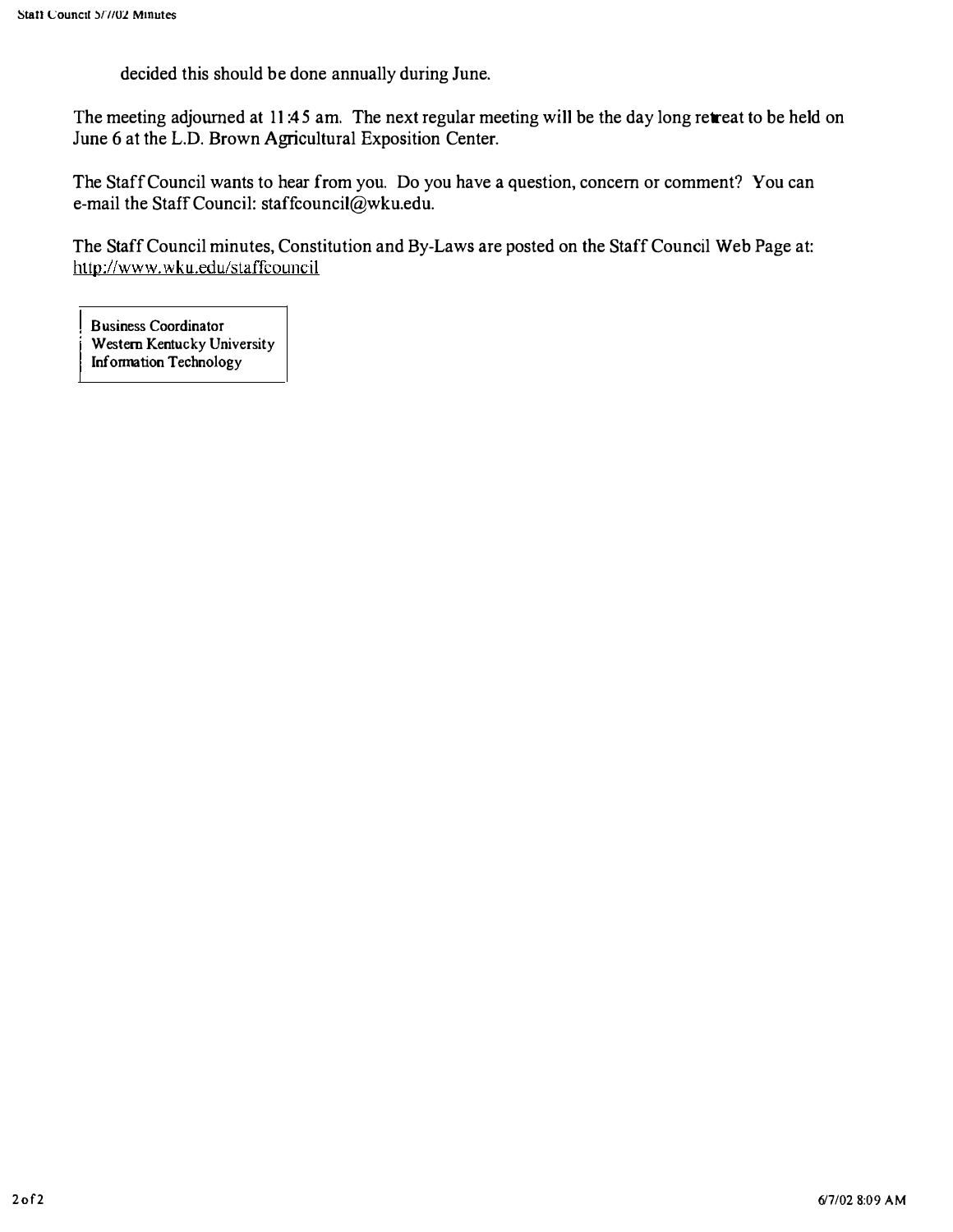decided this should be done annually during June.

The meeting adjourned at 11:45 am. The next regular meeting will be the day long retreat to be held on June 6 at the L.D. Brown Agricultural Exposition Center.

The Staff Council wants to hear from you. Do you have a question, concern or comment? You can e-mail the Staff Council: staffcouncil@wku.edu.

The Staff Council minutes, Constitution and By-Laws are posted on the Staff Council Web Page at: http://www.wku.edu/staffcouncil

Business Coordinator Western Kentucky University Information Technology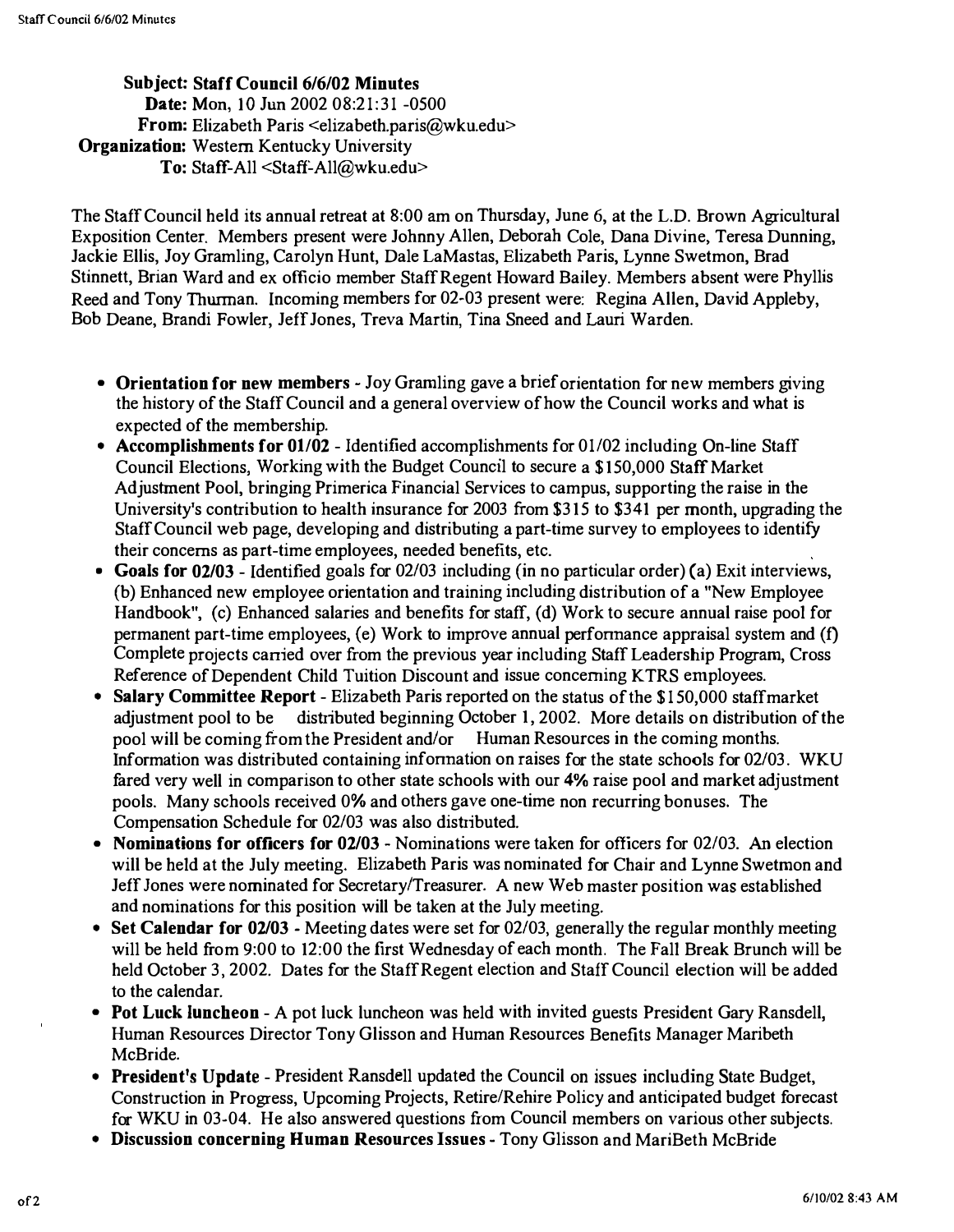Subject: Staff Council 6/6/02 Minutes Date: Mon, 10 Jun 2002 08:21:31 -0500 From: Elizabeth Paris <elizabeth.paris@wku.edu> Organization: Western Kentucky University To: Staff-All <Staff-All@wku.edu>

The Staff Council held its annual retreat at 8:00 am on Thursday, June 6, at the L.D. Brown Agricultural Exposition Center. Members present were Johnny Allen, Deborah Cole, Dana Divine, Teresa Dunning, Jackie Ellis, Joy Gramling, Carolyn Hunt, Dale LaMastas, Elizabeth Paris, Lynne Swetmon, Brad Stinnett, Brian Ward and ex officio member Staff Regent Howard Bailey. Members absent were Phyllis Reed and Tony Thurman. Incoming members for 02-03 present were: Regina Allen, David Appleby, Bob Deane, Brandi Fowler, Jeff Jones, Treva Martin, Tina Sneed and Lauri Warden.

- Orientation for new members Joy Gramling gave a brief orientation for new members giving the history of the Staff Council and a general overview of how the Council works and what is expected of the membership.
- Accomplishments for 01/02 Identified accomplishments for 01/02 including On-line Staff Council Elections, Working with the Budget Council to secure a \$ 150,000 Staff Market Adjustment Pool, bringing Primerica Financial Services to campus, supporting the raise in the University's contribution to health insurance for 2003 from \$3 15 to \$341 per month, upgrading the Staff Council web page, developing and distributing a part-time survey to employees to identify their concerns as part-time employees, needed benefits, etc.
- Goals for 02/03 Identified goals for 02/03 including (in no particular order) (a) Exit interviews, (b) Enhanced new employee orientation and training including distribution of a "New Employee Handbook", (c) Enhanced salaries and benefits for staff, (d) Work to secure annual raise pool for permanent part-time employees, (e) Work to improve annual perfonnance appraisal system and (f) Complete projects carried over from the previous year including Staff Leadership Program, Cross Reference of Dependent Child Tuition Discount and issue concerning KTRS employees.
- Salary Committee Report Elizabeth Paris reported on the status of the \$150,000 staffmarket adjustment pool to be distributed beginning October 1, 2002. More details on distribution of the pool will be coming from the President and/or Human Resources in the coming months. Information was distributed containing information on raises for the state schools for 02/03. WKU fared very well in comparison to other state schools with our 4% raise pool and market adjustment pools. Many schools received 0% and others gave one-time non recurring bonuses. The Compensation Schedule for 02/03 was also distributed.
- Nominations for officers for 02/03 Nominations were taken for officers for 02/03. An election will be held at the July meeting. Elizabeth Paris was nominated for Chair and Lynne Swetmon and Jeff Jones were nominated for Secretary/Treasurer. A new Web master position was established and nominations for this position will be taken at the July meeting.
- Set Calendar for  $02/03$  Meeting dates were set for  $02/03$ , generally the regular monthly meeting will be held from 9:00 to 12:00 the first Wednesday of each month. The Fall Break Brunch will be held October 3, 2002. Dates for the Staff Regent election and Staff Council election will be added to the calendar.
- Pot Luck luncheon A pot luck luncheon was held with invited guests President Gary Ransdell, Human Resources Director Tony Glisson and Human Resources Benefits Manager Maribeth McBride.
- President's Update President Ransdell updated the Council on issues including State Budget, Construction in Progress, Upcoming Projects, Retire/Rehire Policy and anticipated budget forecast for WKU in 03-04. He also answered questions from Council members on various other subjects.
- Discussion concerning Human Resources Issues Tony Glisson and MariBeth McBride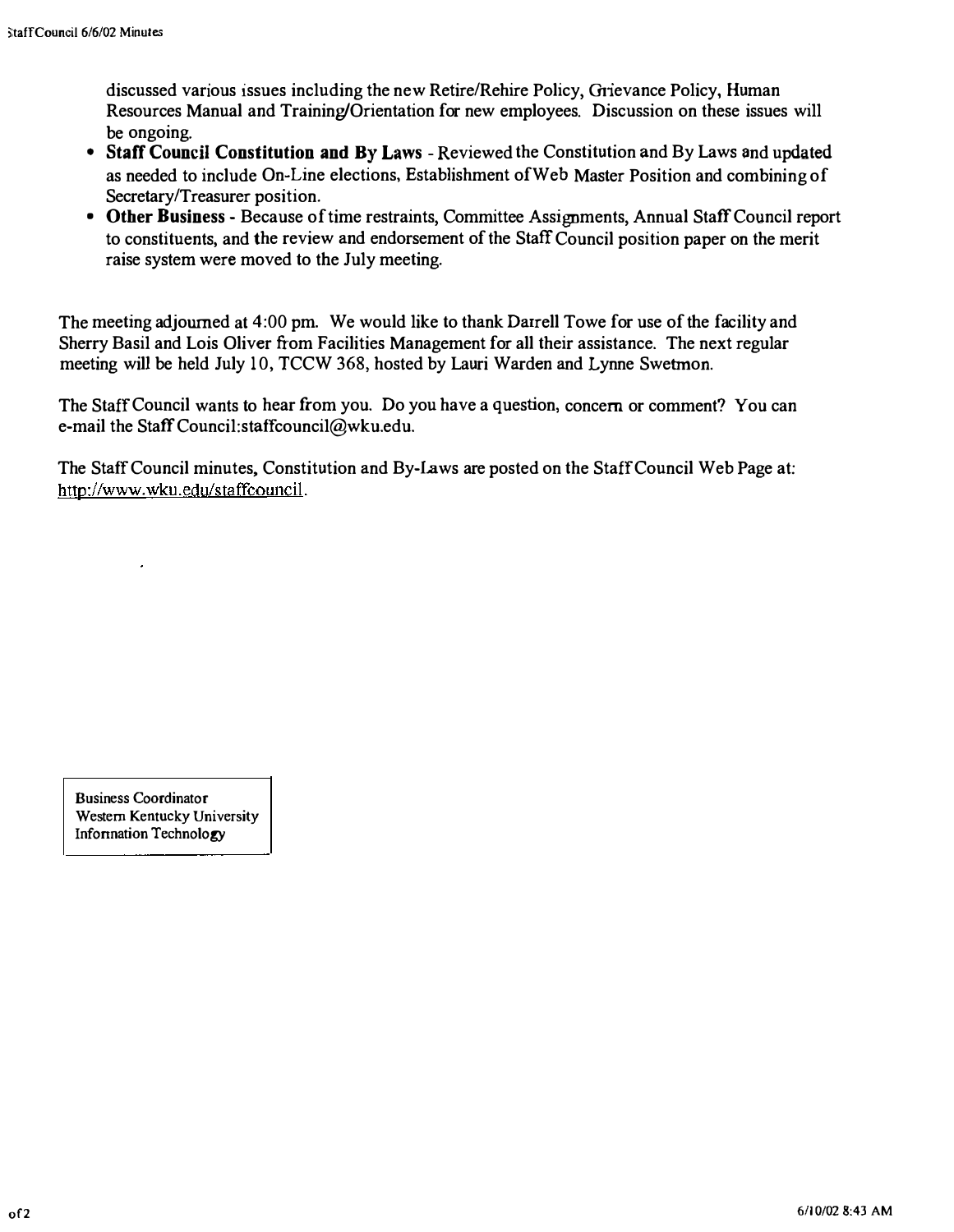discussed various issues including the new RetirelRehire Policy, Grievance Policy, Human Resources Manual and Training/Orientation for new employees. Discussion on these issues will be ongoing.

- Staff Council Constitution and By Laws Reviewed the Constitution and By Laws and updated as needed to include On-Line elections, Establishment ofWeh Master Position and combining of Secretary/Treasurer position.
- Other Business Because of time restraints, Committee Assignments, Annual Staff Council report to constituents, and the review and endorsement of the Staff Council position paper on the merit raise system were moved to the July meeting.

The meeting adjourned at 4:00 pm. We would like to thank Darrell Towe for use of the facility and Sherry Basil and Lois Oliver from Facilities Management for all their assistance. The next regular meeting will be held July 10, TCCW 368, hosted by Lauri Warden and Lynne Swetmon.

The Staff Council wants to hear from you. Do you have a question, concern or comment? You can e-mail the Staff Council: staffcouncil@wku.edu.

The Staff Council minutes. Constitution and By-laws are posted on the Staff Council Web Page at: http://www.wku.edu/staffcouncil.

Business Coordinator Western Kentucky University Infonnation Technology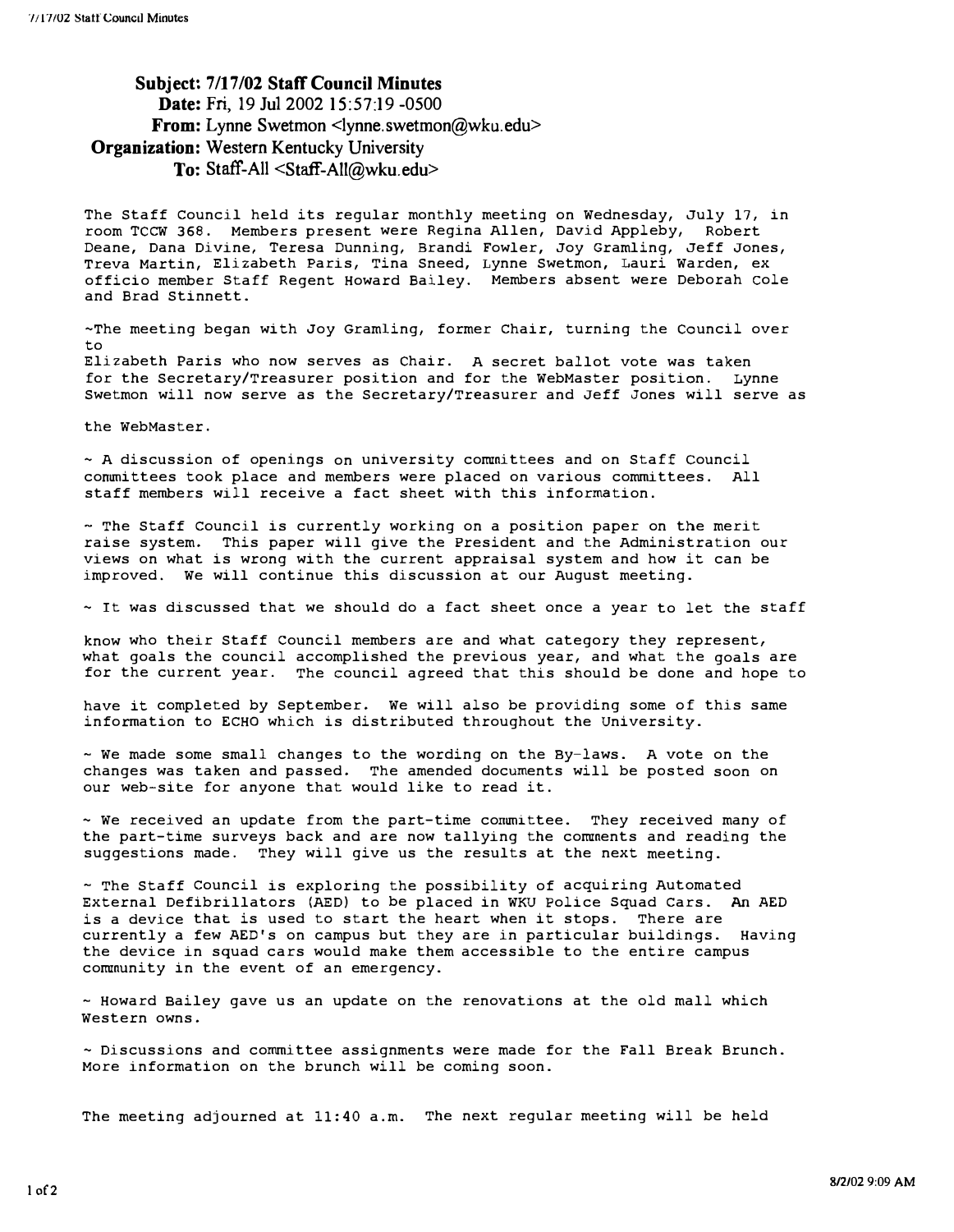### Subject: 7/17/02 Staff Council Minutes Date: Fri, 19 Ju12002 15:57:19 -0500 From: Lynne Swetmon <lynne.swetmon@wku.edu> Organization: Western Kentucky University To: Staff-All <Staff-All@wku.edu>

The Staff Council held its regular monthly meeting on Wednesday, July 17, in room TCCW 368. Members present were Regina Allen, David Appleby, Robert Deane, Dana Divine, Teresa Dunning, Brandi Fowler, Joy Gramling, Jeff Jones, Treva Martin, Elizabeth Paris, Tina Sneed, Lynne Swetmon, Lauri Warden, ex officio member staff Regent Howard Bailey. Members absent were Deborah cole and Brad Stinnett.

-The meeting began with Joy Gramling, former Chair, turning the Council over to

Elizabeth Paris who now serves as Chair. A secret ballot vote was taken for the Secretary/Treasurer position and for the WebMaster position. Lynne Swetmon will now serve as the Secretary/Treasurer and Jeff Jones will serve as

the WebMaster.

- A discussion of openings on university committees and on Staff Council committees took place and members were placed on various committees. All staff members will receive a fact sheet with this information.

- The Staff Council is currently working on a position paper on the merit raise system. This paper will give the President and the Administration our views on what is wrong with the current appraisal system and how it can be improved. We will continue this discussion at our August meeting.

 $\sim$  It was discussed that we should do a fact sheet once a year to let the staff

know who their Staff council members are and what category they represent, what goals the council accomplished the previous year, and what the goals are for the current year. The council agreed that this should be done and hope to

have it completed by September. We will also be providing some of this same information to ECHO which is distributed throughout the University.

- We made some small changes to the wording on the By-laws. A vote on the changes was taken and passed. The amended documents will be posted soon on our web-site for anyone that would like to read it.

- We received an update from the part-time committee. They received many of the part-time surveys back and are now tallying the comments and reading the suggestions made. They will give us the results at the next meeting.

- The Staff Council is exploring the possibility of acquiring Automated External Defibrillators (AED) to be placed in WKU Police squad Cars. An AED is a device that is used to start the heart when it stops. There are currently a few AED's on campus but they are in particular buildings. Having the device in squad cars would make them accessible to the entire campus community in the event of an emergency.

- Howard Bailey gave us an update on the renovations at the old mall which Western owns.

- Discussions and committee assignments were made for the Fall Break Brunch. More information on the brunch will be coming soon.

The meeting adjourned at 11:40 a.m. The next regular meeting will be held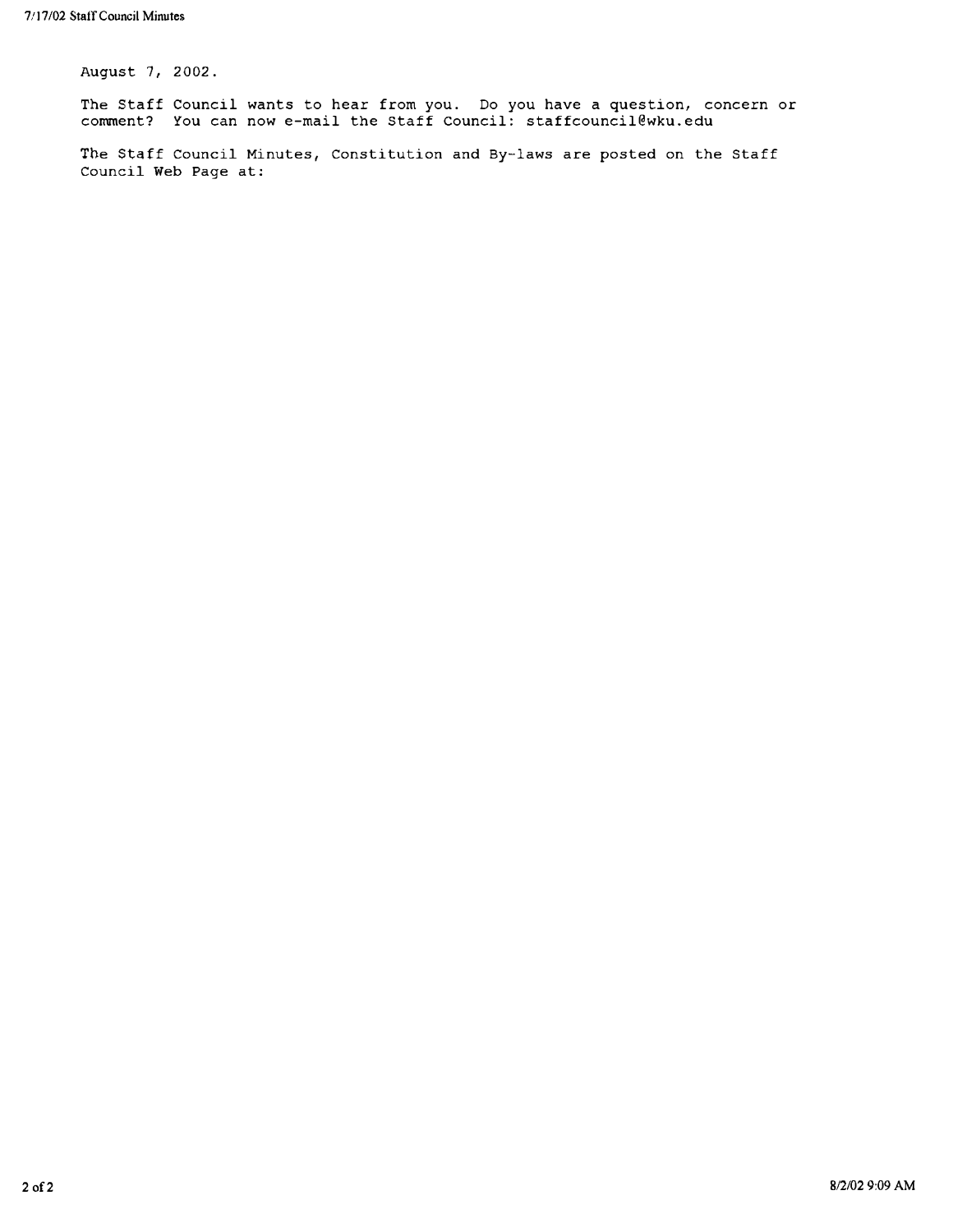August 7, 2002.

The Staff Council wants to hear from you. Do you have a question, concern or comment? You can now e-mail the staff Council: staffcouncil@wku.edu

The Staff Council Minutes, Constitution and By-laws are posted on the Staff Council Web Page at: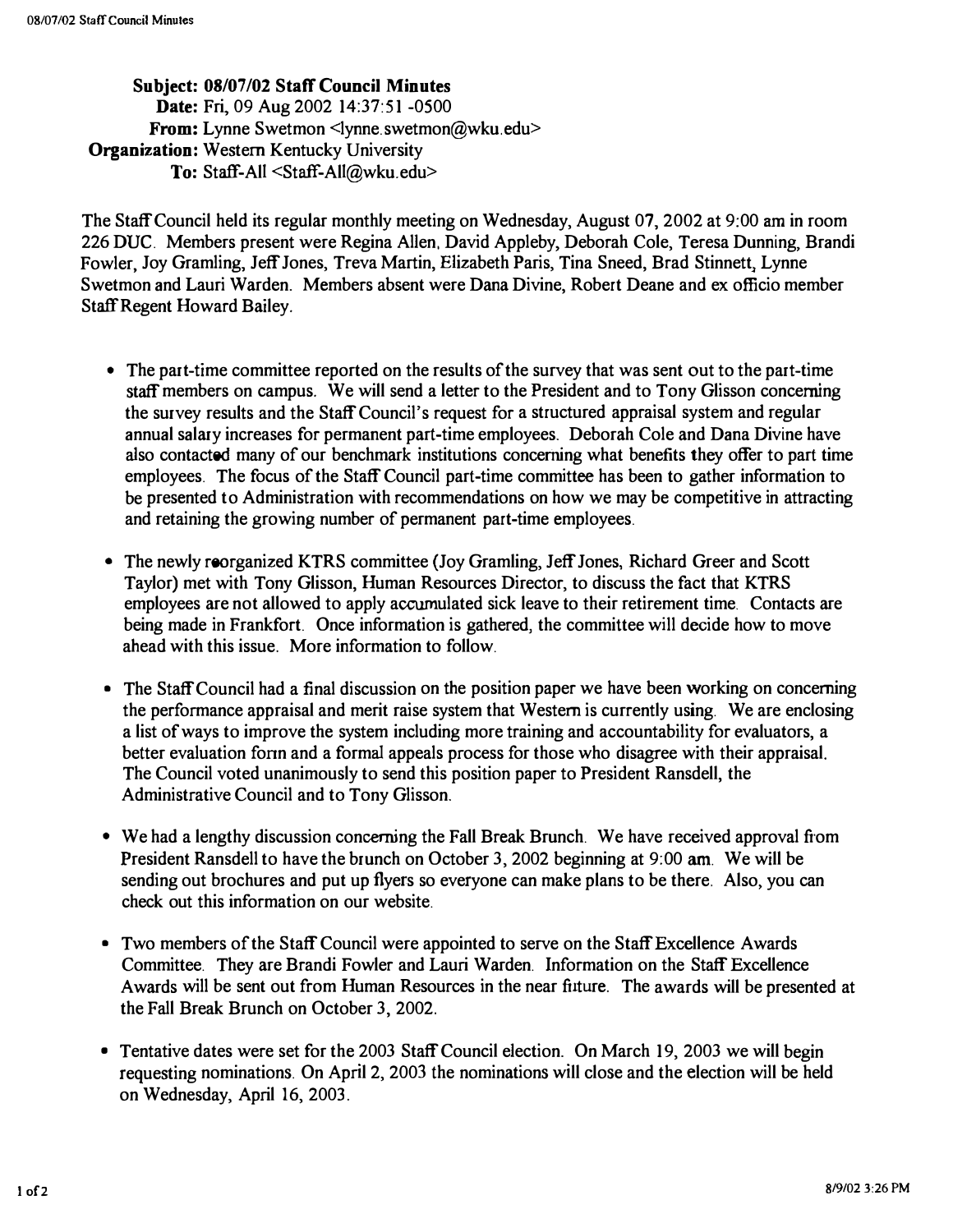Subject: 08/07/02 Staff Council Minutes Date: Fri, 09 Aug 2002 14:37:51 -0500 From: Lynne Swetmon <lynne.swetmon@wku.edu> Organization: Western Kentucky University To: Staff-All <Staff-All@wku.edu>

The Staff Council held its regular monthly meeting on Wednesday, August 07, 2002 at 9:00 am in room 226 DUC. Members present were Regina Allen, David Appleby, Deborah Cole, Teresa Dunning, Brandi Fowler, Joy Gramling, Jeff Jones, Treva Martin, Elizabeth Paris, Tina Sneed, Brad Stinnett, Lynne Swetmon and Lauri Warden. Members absent were Dana Divine, Robert Deane and ex officio member Staff Regent Howard Bailey.

- The part-time committee reported on the results of the survey that was sent out to the part-time staff members on campus. We will send a letter to the President and to Tony Glisson concerning the survey results and the Staff Council's request for a structured appraisal system and regular annual salary increases for permanent part-time employees. Deborah Cole and Dana Divine have also contacted many of our benchmark institutions concerning what benefits they offer to part time employees. The focus of the Staff Council part-time committee has been to gather information to be presented to Administration with recommendations on how we may be competitive in attracting and retaining the growing number of permanent part-time employees.
- The newly reorganized KTRS committee (Joy Gramling, Jeff Jones, Richard Greer and Scott Taylor) met with Tony Glisson, Human Resources Director, to discuss the fact that KTRS employees are not allowed to apply accumulated sick leave to their retirement time. Contacts are being made in Frankfort. Once information is gathered, the committee will decide how to move ahead with this issue. More information to follow.
- The Staff Council had a final discussion on the position paper we have been working on concerning the performance appraisal and merit raise system that Western is currently using. We are enclosing a list of ways to improve the system including more training and accountability for evaluators, a better evaluation fonn and a formal appeals process for those who disagree with their appraisal. The Council voted unanimously to send this position paper to President Ransdell, the Administrative Council and to Tony Glisson.
- We had a lengthy discussion concerning the Fall Break Brunch. We have received approval from President Ransdell to have the brunch on October 3, 2002 beginning at 9:00 am. We will be sending out brochures and put up flyers so everyone can make plans to be there. Also, you can check out this information on our website.
- Two members of the Staff Council were appointed to serve on the Staff Excellence Awards Committee. They are Brandi Fowler and Lauri Warden. Information on the Staff Excellence Awards will be sent out from Human Resources in the near future. The awards will be presented at the Fall Break Brunch on October 3, 2002.
- Tentative dates were set for the 2003 Staff Council election. On March 19, 2003 we will begin requesting nominations. On April 2, 2003 the nominations will close and the election will be held on Wednesday, April 16, 2003.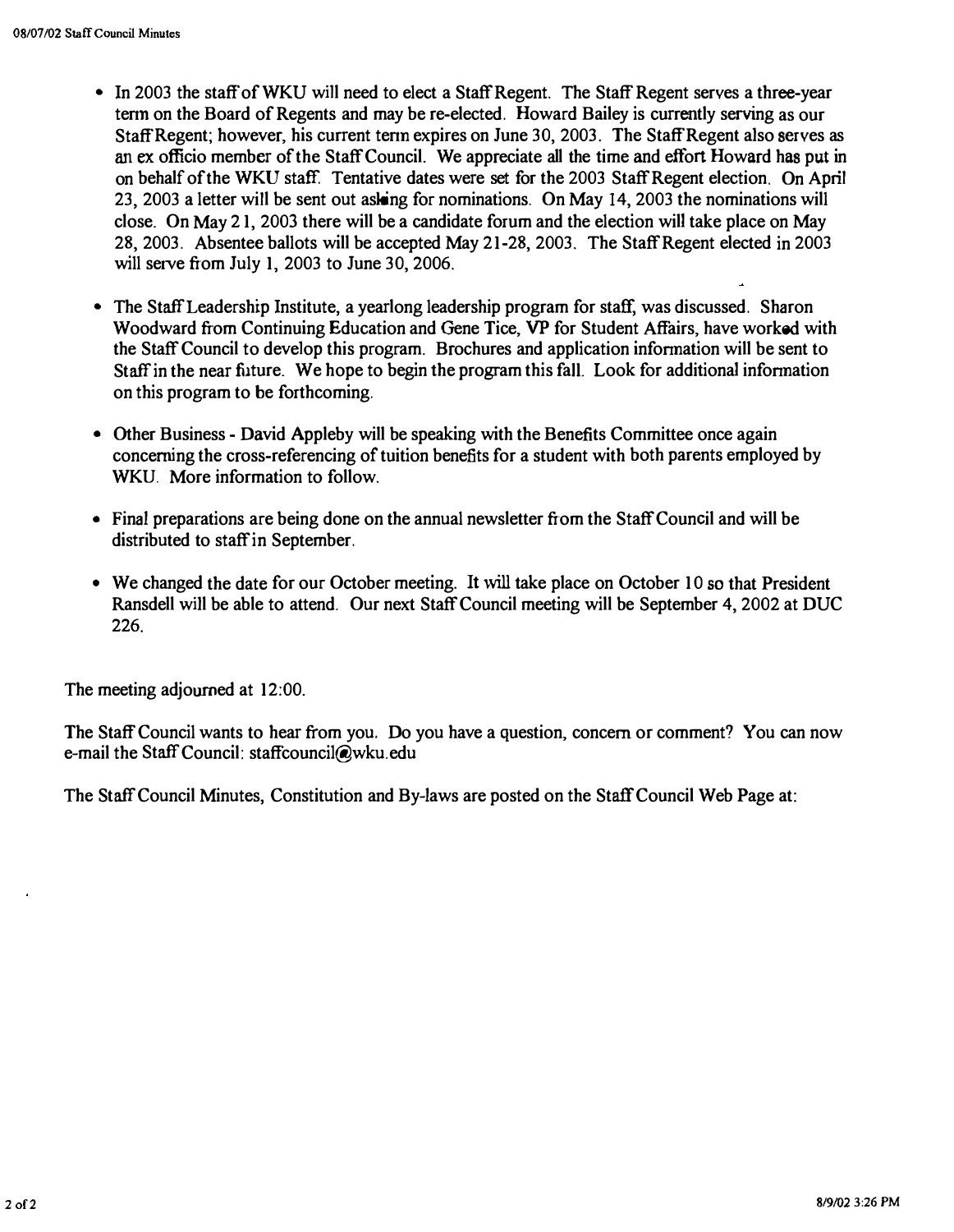- In 2003 the staff of WKU will need to elect a Staff Regent. The Staff Regent serves a three-year tenn on the Board of Regents and may be re-elected. Howard Bailey is currently serving as our Staff Regent; however, his current tenn expires on June 30, 2003. The Staff Regent also serves as an ex officio member of the Staff Council. We appreciate all the time and effort Howard has put in on behalf of the WKU staff. Tentative dates were set for the 2003 Staff Regent election. On April 23,2003 a letter will be sent out asking for nominations. On May 14, 2003 the nominations will close. On May 21, 2003 there will be a candidate forum and the election will take place on May 28, 2003. Absentee ballots will be accepted May 21-28, 2003. The Staff Regent elected in 2003 will serve from July 1, 2003 to June 30, 2006.
- The Staff Leadership Institute, a yearlong leadership program for staff, was discussed. Sharon Woodward from Continuing Education and Gene Tice, VP for Student Affairs, have worked with the Staff Council to develop this program. Brochures and application infonnation will be sent to Staff in the near future. We hope to begin the program this faIL Look for additional infonnation on this program to be forthcoming.
- Other Business David Appleby will be speaking with the Benefits Committee once again concerning the cross-referencing of tuition benefits for a student with both parents employed by WKU More information to follow.
- Final preparations are being done on the annual newsletter from the Staff Council and will be distributed to staff in September.
- We changed the date for our October meeting. It will take place on October 10 so that President Ransdell will be able to attend. Our next Staff Council meeting will be September 4, 2002 at DUC 226.

The meeting adjourned at 12:00.

The Staff Council wants to hear from you, Do you have a question, concern or comment? You can now e-mail the Staff Council: staffcounci1@wku.edu

The Staff Council Minutes, Constitution and By-laws are posted on the Staff Council Web Page at: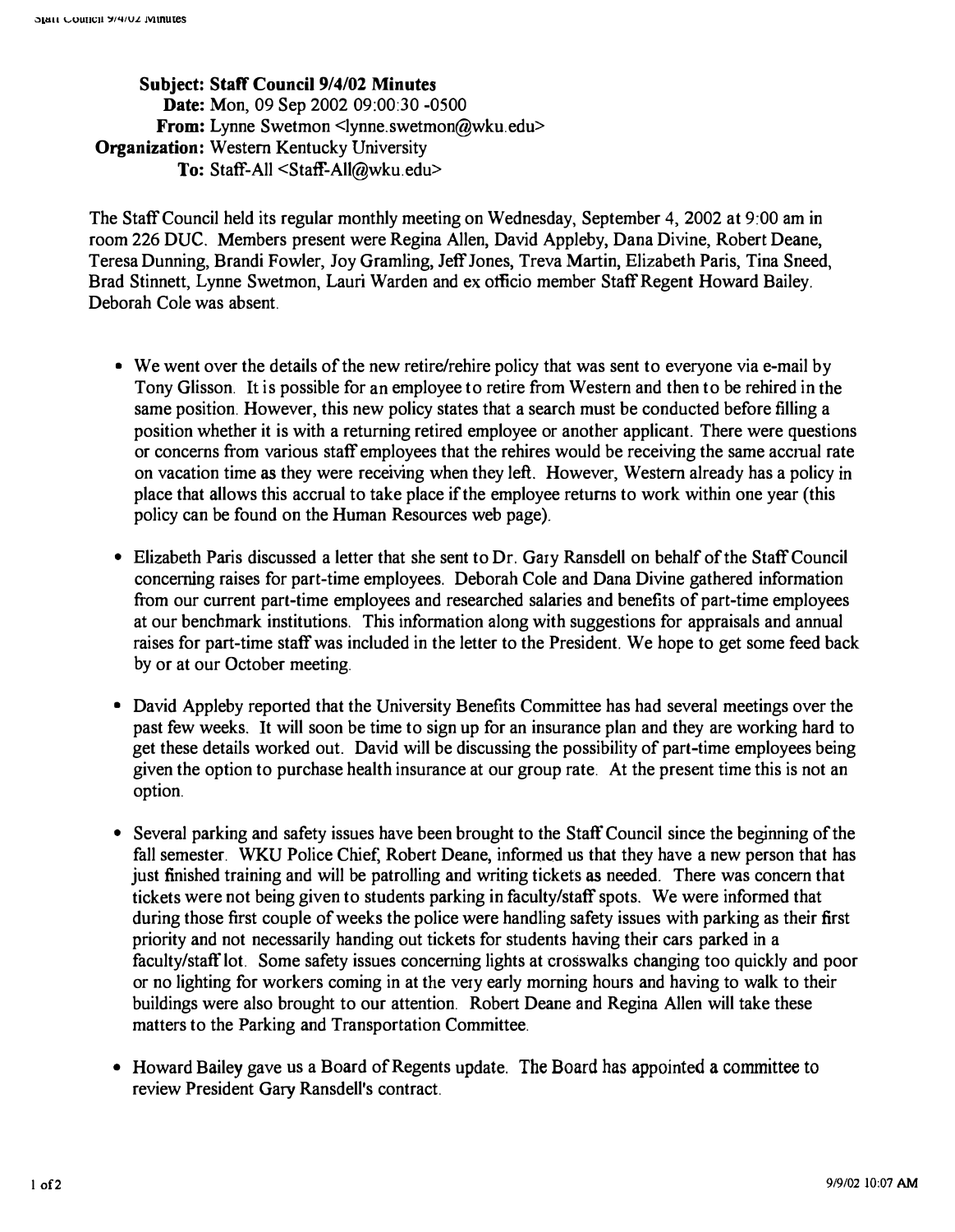Subject: Staff Council 9/4/02 Minutes Date: Mon, 09 Sep 2002 09:00:30 -0500 From: Lynne Swetmon <lynne.swetmon@wku.edu> Organization: Western Kentucky University To: Staff-All <Staff-AlI@wku.edu>

The Staff Council held its regular monthly meeting on Wednesday, September 4,2002 at 9:00 am in room 226 DUC. Members present were Regina Allen, David Appleby, Dana Divine, Robert Deane, Teresa Dunning, Brandi Fowler, Joy Gramling, Jeff Jones, Treva Martin, Elizabeth Paris, Tina Sneed, Brad Stinnett, Lynne Swetmon, Lauri Warden and ex officio member Staff Regent Howard Bailey. Deborah Cole was absent.

- We went over the details of the new retire/rehire policy that was sent to everyone via e-mail by Tony Glisson. It is possible for an employee to retire from Western and then to be rehired in the same position. However, this new policy states that a search must be conducted before filling a position whether it is with a returning retired employee or another applicant. There were questions or concerns from various staff employees that the rehires would be receiving the same accrual rate on vacation time as they were receiving when they left. However, Western already has a policy in place that allows this accrual to take place if the employee returns to work within one year (this policy can be found on the Human Resources web page).
- Elizabeth Paris discussed a letter that she sent to Dr. Gary Ransdell on behalf of the Staff Council concerning raises for part-time employees. Deborah Cole and Dana Divine gathered information from our current part-time employees and researched salaries and benefits of part-time employees at our benchmark institutions. This information along with suggestions for appraisals and annual raises for part-time staff was included in the letter to the President. We hope to get some feed back by or at our October meeting.
- David Appleby reported that the University Benefits Committee has had several meetings over the past few weeks. It will soon be time to sign up for an insurance plan and they are working hard to get these details worked out. David will be discussing the possibility of part-time employees being given the option to purchase health insurance at our group rate. At the present time this is not an option.
- Several parking and safety issues have been brought to the Staff Council since the beginning of the fall semester. WKU Police Chief, Robert Deane, informed us that they have a new person that has just finished training and will be patrolling and writing tickets as needed. There was concern that tickets were not being given to students parking in facuIty/staff spots. We were informed that during those first couple of weeks the police were handling safety issues with parking as their first priority and not necessarily handing out tickets for students having their cars parked in a faculty/staff lot. Some safety issues concerning lights at crosswalks changing too quickly and poor or no lighting for workers coming in at the very early morning hours and having to walk to their buildings were also brought to our attention. Robert Deane and Regina Allen will take these matters to the Parking and Transportation Committee.
- Howard Bailey gave us a Board of Regents update. The Board has appointed a committee to review President Gary Ransdell's contract.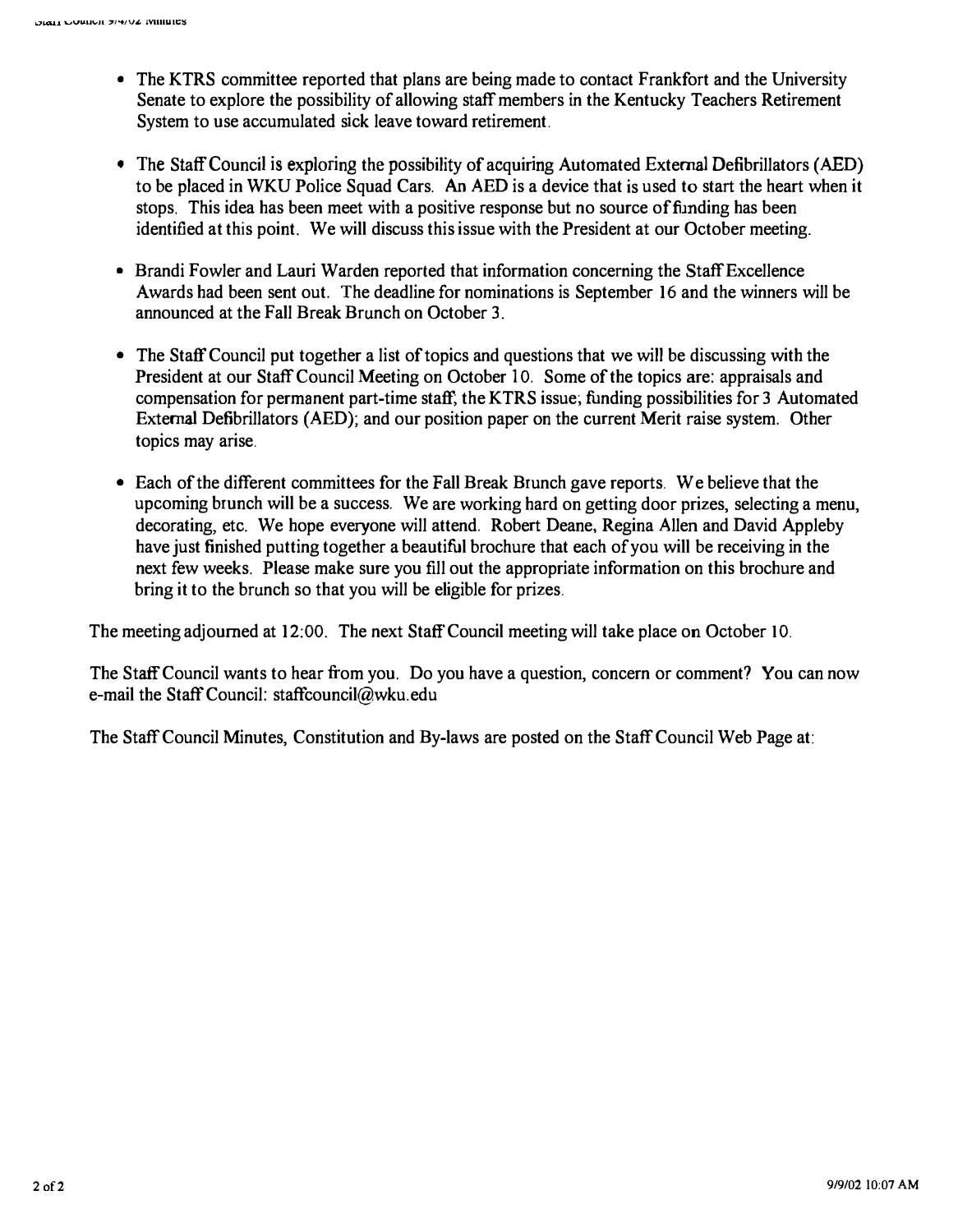- The KTRS committee reported that plans are being made to contact Frankfort and the University Senate to explore the possibility of allowing staff members in the Kentucky Teachers Retirement System to use accumulated sick leave toward retirement.
- The Staff Council is exploring the possibility of acquiring Automated External Defibrillators (AED) to be placed in WKU Police Squad Cars. An AED is a device that is used to start the heart when it stops. This idea has been meet with a positive response but no source of funding has been identified at this point. We will discuss this issue with the President at our October meeting.
- Brandi Fowler and Lauri Warden reported that information concerning the Staff Excellence Awards had been sent out. The deadline for nominations is September 16 and the winners will be announced at the Fall Break Brunch on October 3.
- The Staff Council put together a list of topics and questions that we will be discussing with the President at our Staff Council Meeting on October 10. Some of the topics are: appraisals and compensation for permanent part-time staff; the KTRS issue; funding possibilities for 3 Automated External Defibrillators (AED); and our position paper on the current Merit raise system. Other topics may arise.
- Each of the different committees for the Fall Break Brunch gave reports. We believe that the upcoming brunch will be a success. We are working hard on getting door prizes, selecting a menu, decorating, etc. We hope everyone will attend. Robert Deane, Regina Allen and David Appleby have just finished putting together a beautiful brochure that each of you will be receiving in the next few weeks. Please make sure you fill out the appropriate information on this brochure and bring it to the brunch so that you will be eligible for prizes.

The meeting adjourned at 12:00. The next Staff Council meeting will take place on October 10.

The Staff Council wants to hear from you. Do you have a question, concern or comment? You can now e-mail the Staff Council: staffcouncil@wku.edu

The Staff Council Minutes, Constitution and By-laws are posted on the Staff Council Web Page at: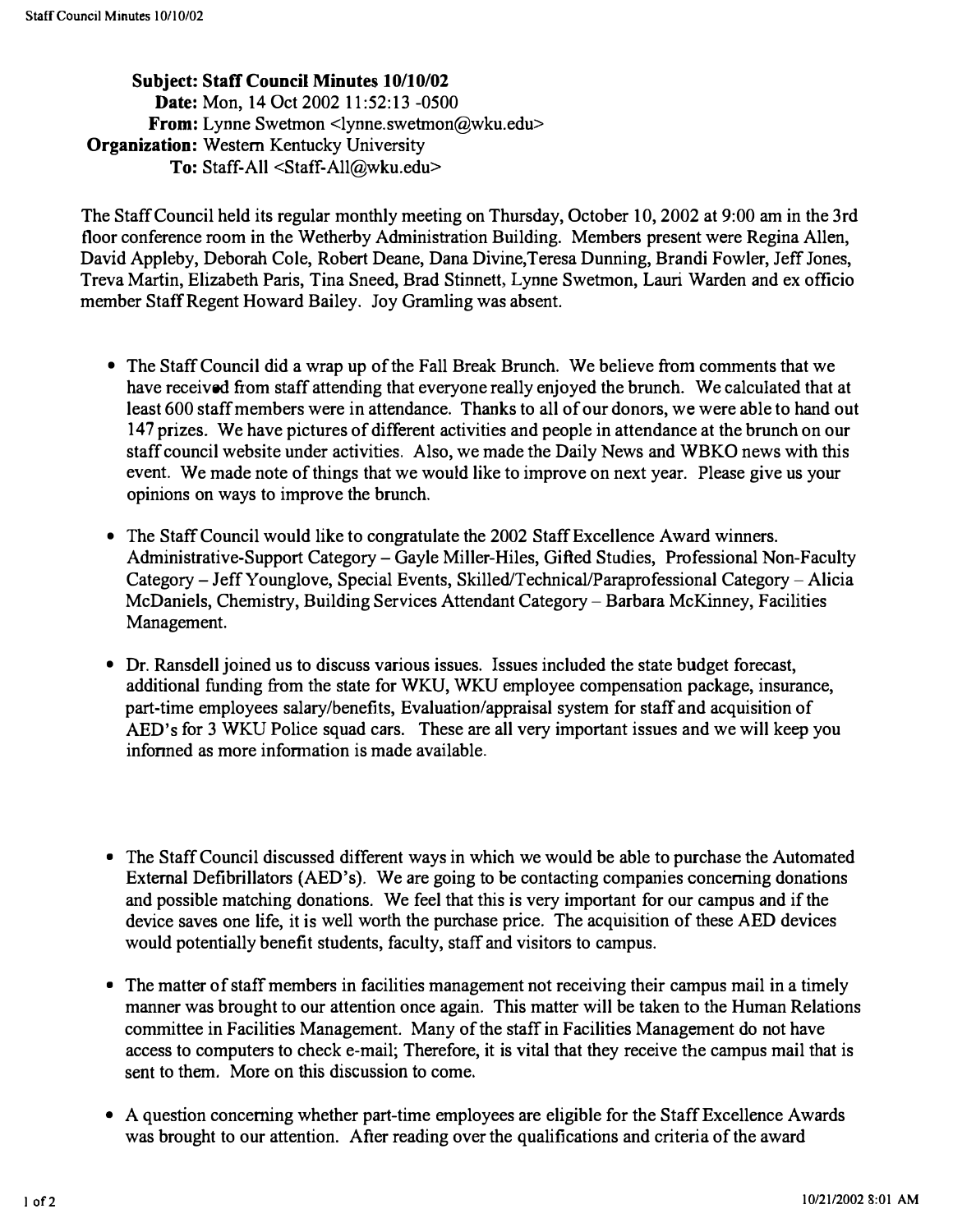Subject: Staff Council Minutes 10/10/02 Date: Mon, 14 Oct 2002 11:52:13 -0500 From: Lynne Swetmon <lynne.swetmon@wku.edu> **Organization:** Western Kentucky University To: Staff-All <Staff-All@wku.edu>

The Staff Council held its regular monthly meeting on Thursday, October 10, 2002 at 9:00 am in the 3rd floor conference room in the Wetherby Administration Building. Members present were Regina Allen, David Appleby, Deborah Cole, Robert Deane, Dana Divine,Teresa Dunning, Brandi Fowler, Jeff Jones, Treva Martin, Elizabeth Paris, Tina Sneed, Brad Stinnett, Lynne Swetmon, Lauri Warden and ex officio member Staff Regent Howard Bailey. Joy Gramling was absent.

- The Staff Council did a wrap up of the Fall Break Brunch. We believe from comments that we have received from staff attending that everyone really enjoyed the brunch. We calculated that at least 600 staff members were in attendance. Thanks to all of our donors, we were able to hand out 147 prizes. We have pictures of different activities and people in attendance at the brunch on our staff council website under activities. Also, we made the Daily News and WBKO news with this event. We made note of things that we would like to improve on next year. Please give us your opinions on ways to improve the brunch.
- The Staff Council would like to congratulate the 2002 Staff Excellence Award winners. Administrative-Support Category – Gayle Miller-Hiles, Gifted Studies, Professional Non-Faculty Category - Jeff Younglove, Special Events, Skilled/Technical/Paraprofessional Category - Alicia McDaniels, Chemistry, Building Services Attendant Category - Barbara McKinney, Facilities Management.
- Dr. Ransdell joined us to discuss various issues. Issues included the state budget forecast, additional funding from the state for WKU, WKU employee compensation package, insurance, part-time employees salary/benefits, Evaluation/appraisal system for staff and acquisition of AED's for 3 WKU Police squad cars. These are all very important issues and we will keep you infonned as more infonnation is made available.
- The Staff Council discussed different ways in which we would be able to purchase the Automated External Defibrillators (AED's). We are going to be contacting companies concerning donations and possible matching donations. We feel that this is very important for our campus and if the device saves one life, it is well worth the purchase price. The acquisition of these AED devices would potentially benefit students, faculty, staff and visitors to campus.
- The matter of staff members in facilities management not receiving their campus mail in a timely manner was brought to our attention once again. This matter will be taken to the Human Relations committee in Facilities Management. Many of the staff in Facilities Management do not have access to computers to check e-mail; Therefore, it is vital that they receive the campus mail that is sent to them. More on this discussion to come.
- A question concerning whether part-time employees are eligible for the Staff Excellence Awards was brought to our attention. After reading over the qualifications and criteria of the award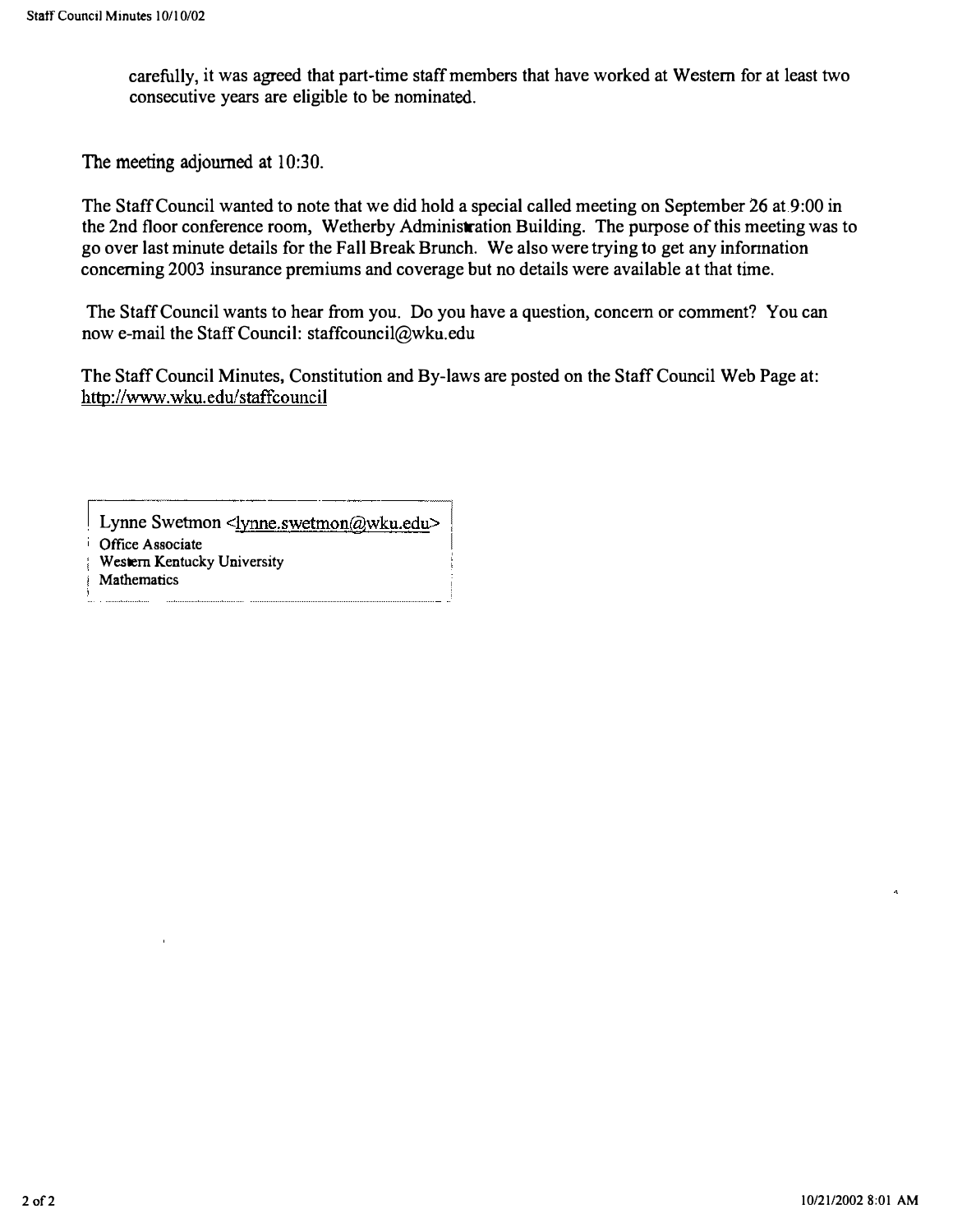carefully, it was agreed that part-time staff members that have worked at Western for at least two consecutive years are eligible to be nominated.

The meeting adjourned at 10:30.

The Staff Council wanted to note that we did hold a special called meeting on September 26 at 9:00 in the 2nd floor conference room, Wetherby Administration Building. The purpose of this meeting was to go over last minute details for the Fall Break Brunch. We also were trying to get any infonnation concerning 2003 insurance premiums and coverage but no details were available at that time.

The Staff Council wants to hear from you. Do you have a question, concern or comment? You can now e-mail the Staff Council: staffcouncil@wku.edu

The Staff Council Minutes, Constitution and By-laws are posted on the Staff Council Web Page at: http://www.wku.edu/staffcouncil

r------.----.-�.---, Lynne Swetmon <lynne.swetmon@wku.edu>

Office Associate

Western Kentucky University

**Mathematics**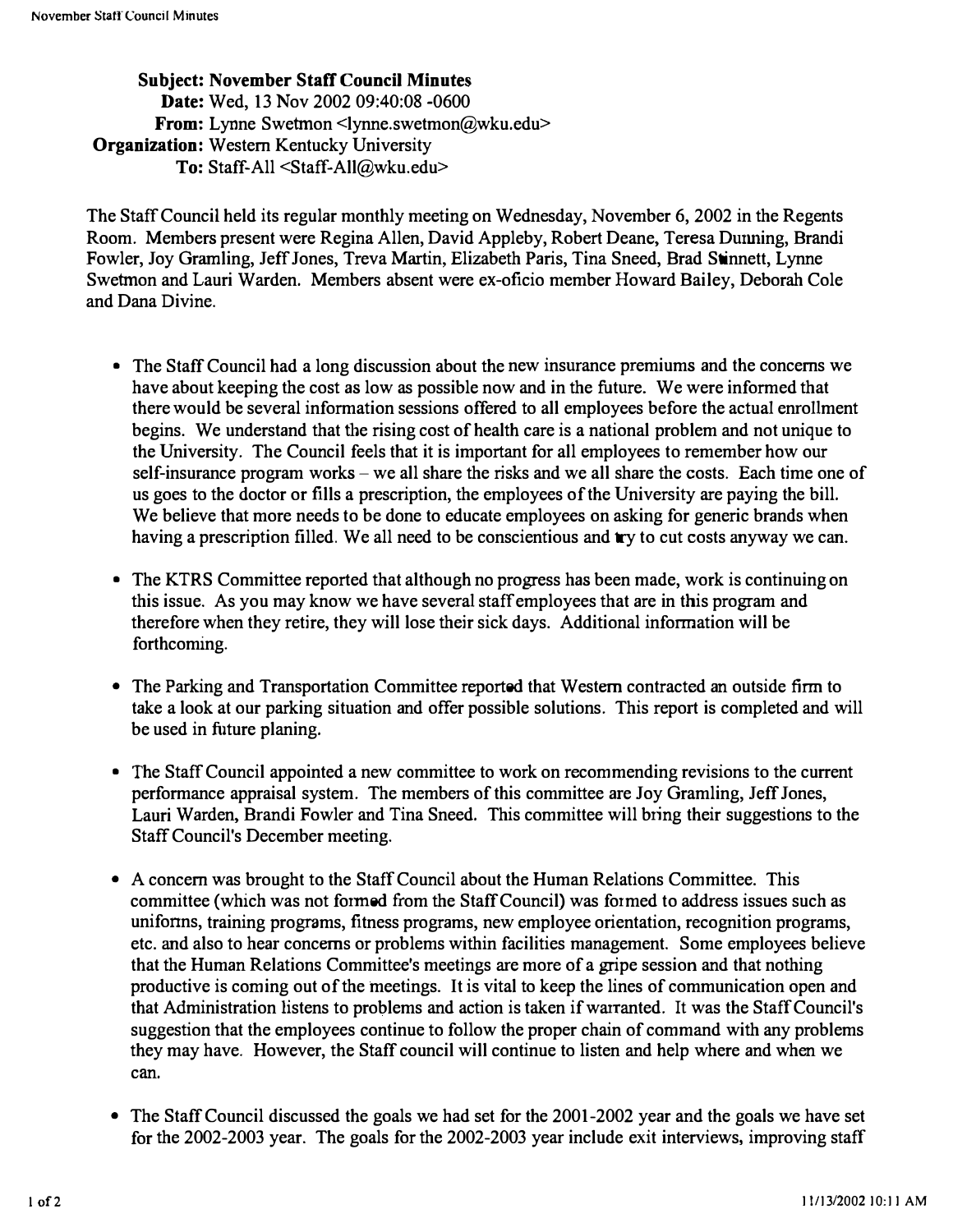SUbject: November Staff Council Minutes Date: Wed, 13 Nov 2002 09:40:08 -0600 From: Lynne Swetmon <lynne.swetmon@wku.edu> Organization: Western Kentucky University To: Staff-All <Staff-All@wku.edu>

The Staff Council held its regular monthly meeting on Wednesday, November 6, 2002 in the Regents Room. Members present were Regina Allen, David Appleby, Robert Deane, Teresa Dunning, Brandi Fowler, Joy Gramling, Jeff Jones, Treva Martin, Elizabeth Paris, Tina Sneed, Brad Stinnett, Lynne Swetmon and Lauri Warden. Members absent were ex-oficio member Howard Bailey, Deborah Cole and Dana Divine.

- The Staff Council had a long discussion about the new insurance premiums and the concerns we have about keeping the cost as low as possible now and in the future. We were informed that there would be several information sessions offered to all employees before the actual enrollment begins. We understand that the rising cost of health care is a national problem and not unique to the University. The Council feels that it is important for all employees to remember how our self-insurance program works – we all share the risks and we all share the costs. Each time one of us goes to the doctor or fills a prescription, the employees of the University are paying the bill. We believe that more needs to be done to educate employees on asking for generic brands when having a prescription filled. We all need to be conscientious and try to cut costs anyway we can.
- The KTRS Committee reported that although no progress has been made, work is continuing on this issue. As you may know we have several staff employees that are in this program and therefore when they retire, they will lose their sick days. Additional information will be forthcoming.
- The Parking and Transportation Committee reported that Western contracted an outside firm to take a look at our parking situation and offer possible solutions. This report is completed and will be used in future planing.
- The Staff Council appointed a new committee to work on recommending revisions to the current performance appraisal system. The members of this committee are Joy Gramling, Jeff Jones, Lauri Warden, Brandi Fowler and Tina Sneed. This committee will bring their suggestions to the Staff Council's December meeting.
- A concern was brought to the Staff Council about the Human Relations Committee. This committee (which was not formed from the Staff Council) was formed to address issues such as unifonns, training programs, fitness programs, new employee orientation, recognition programs, etc. and also to hear concerns or problems within facilities management. Some employees believe that the Human Relations Committee's meetings are more of a gripe session and that nothing productive is coming out of the meetings. It is vital to keep the lines of communication open and that Administration listens to problems and action is taken if warranted. It was the Staff Council's suggestion that the employees continue to follow the proper chain of command with any problems they may have. However, the Staff council will continue to listen and help where and when we can.
- The Staff Council discussed the goals we had set for the 2001-2002 year and the goals we have set for the 2002-2003 year. The goals for the 2002-2003 year include exit interviews, improving staff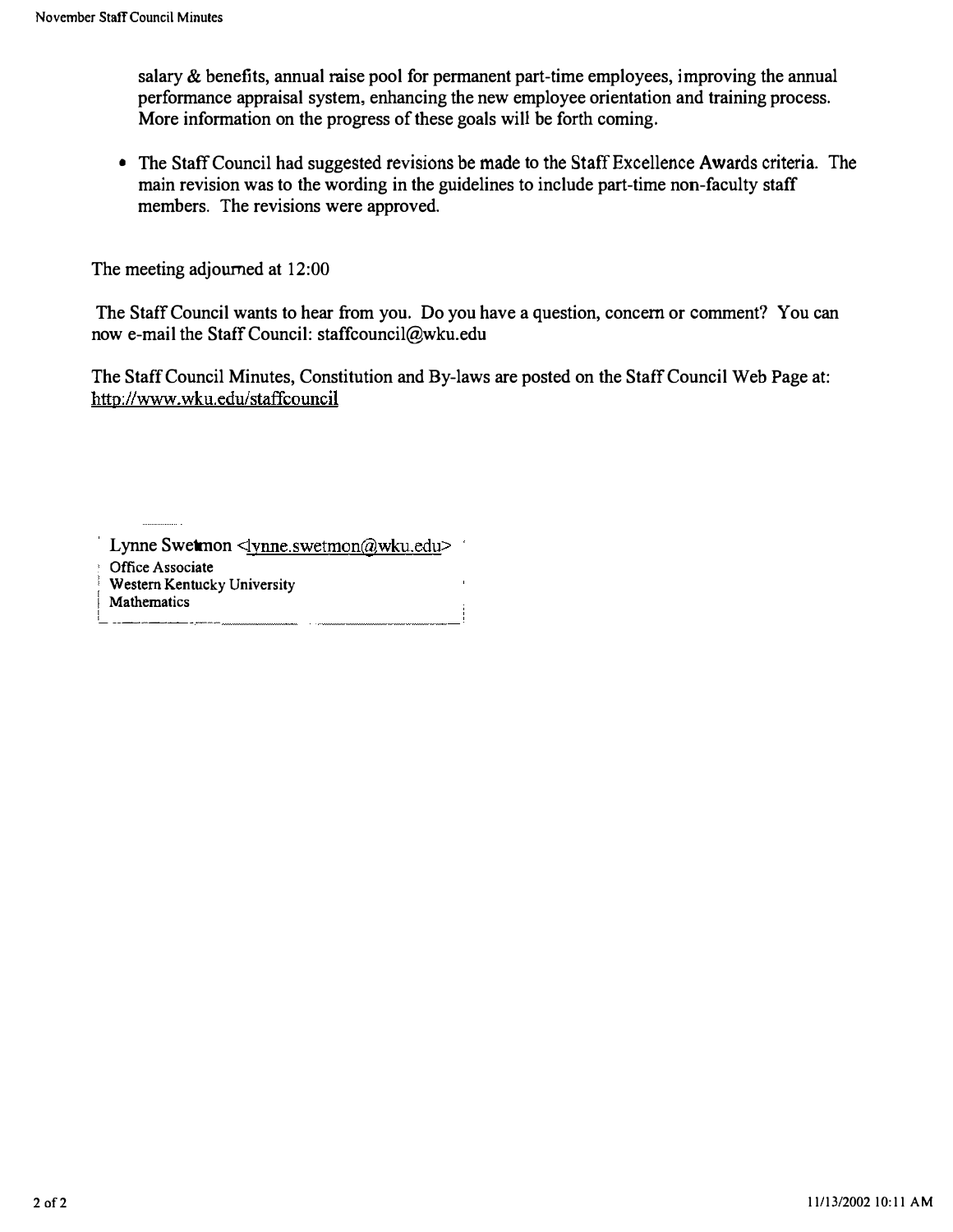salary & benefits, annual raise pool for permanent part-time employees, improving the annual performance appraisal system, enhancing the new employee orientation and training process. More information on the progress of these goals will be forth coming.

• The Staff Council had suggested revisions be made to the Staff Excellence Awards criteria. The main revision was to the wording in the guidelines to include part-time non-faculty staff members. The revisions were approved.

The meeting adjourned at 12:00

The Staff Council wants to hear from you. Do you have a question, concern or comment? You can now e-mail the Staff Council: staffcounci1@wku.edu

The Staff Council Minutes, Constitution and By-laws are posted on the Staff Council Web Page at: http://www.wku.edu/staffcouncil

Lynne Swetmon <lynne.swetmon@wku.edu> Office Associate Western Kentucky University **Mathematics** L \_\_ �\_�� \_\_ �\_